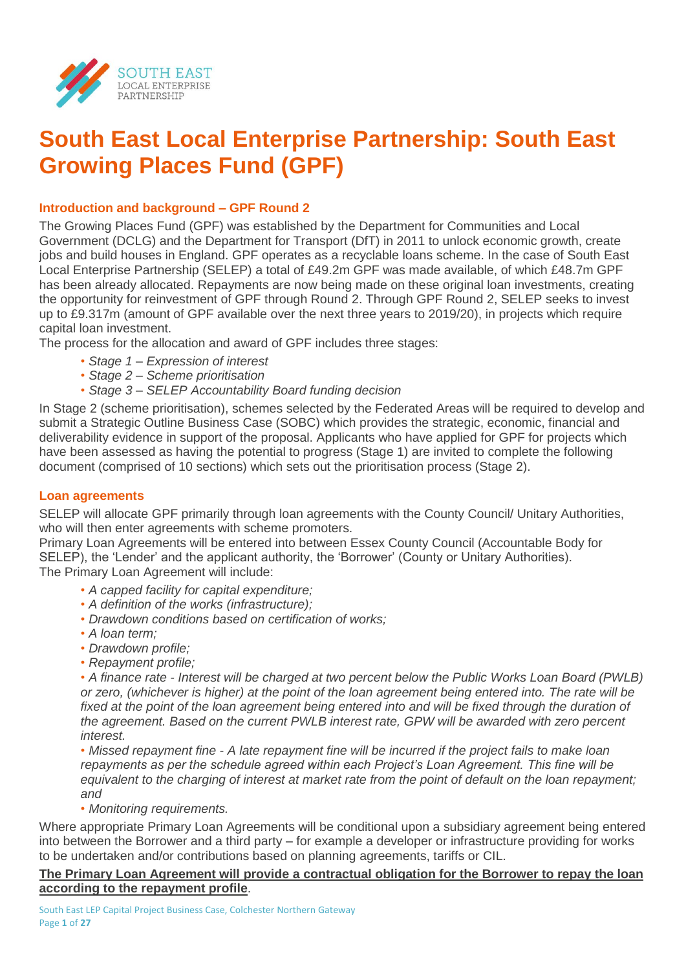

# **South East Local Enterprise Partnership: South East Growing Places Fund (GPF)**

## **Introduction and background – GPF Round 2**

The Growing Places Fund (GPF) was established by the Department for Communities and Local Government (DCLG) and the Department for Transport (DfT) in 2011 to unlock economic growth, create jobs and build houses in England. GPF operates as a recyclable loans scheme. In the case of South East Local Enterprise Partnership (SELEP) a total of £49.2m GPF was made available, of which £48.7m GPF has been already allocated. Repayments are now being made on these original loan investments, creating the opportunity for reinvestment of GPF through Round 2. Through GPF Round 2, SELEP seeks to invest up to £9.317m (amount of GPF available over the next three years to 2019/20), in projects which require capital loan investment.

The process for the allocation and award of GPF includes three stages:

- *Stage 1 – Expression of interest*
- *• Stage 2 – Scheme prioritisation*
- *• Stage 3 – SELEP Accountability Board funding decision*

In Stage 2 (scheme prioritisation), schemes selected by the Federated Areas will be required to develop and submit a Strategic Outline Business Case (SOBC) which provides the strategic, economic, financial and deliverability evidence in support of the proposal. Applicants who have applied for GPF for projects which have been assessed as having the potential to progress (Stage 1) are invited to complete the following document (comprised of 10 sections) which sets out the prioritisation process (Stage 2).

## **Loan agreements**

SELEP will allocate GPF primarily through loan agreements with the County Council/ Unitary Authorities, who will then enter agreements with scheme promoters.

Primary Loan Agreements will be entered into between Essex County Council (Accountable Body for SELEP), the 'Lender' and the applicant authority, the 'Borrower' (County or Unitary Authorities). The Primary Loan Agreement will include:

- *• A capped facility for capital expenditure;*
- *• A definition of the works (infrastructure);*
- *• Drawdown conditions based on certification of works;*
- *• A loan term;*
- *• Drawdown profile;*
- *• Repayment profile;*

*• A finance rate - Interest will be charged at two percent below the Public Works Loan Board (PWLB) or zero, (whichever is higher) at the point of the loan agreement being entered into. The rate will be*  fixed at the point of the loan agreement being entered into and will be fixed through the duration of *the agreement. Based on the current PWLB interest rate, GPW will be awarded with zero percent interest.* 

*• Missed repayment fine - A late repayment fine will be incurred if the project fails to make loan repayments as per the schedule agreed within each Project's Loan Agreement. This fine will be equivalent to the charging of interest at market rate from the point of default on the loan repayment; and*

*• Monitoring requirements.*

Where appropriate Primary Loan Agreements will be conditional upon a subsidiary agreement being entered into between the Borrower and a third party – for example a developer or infrastructure providing for works to be undertaken and/or contributions based on planning agreements, tariffs or CIL.

## **The Primary Loan Agreement will provide a contractual obligation for the Borrower to repay the loan according to the repayment profile**.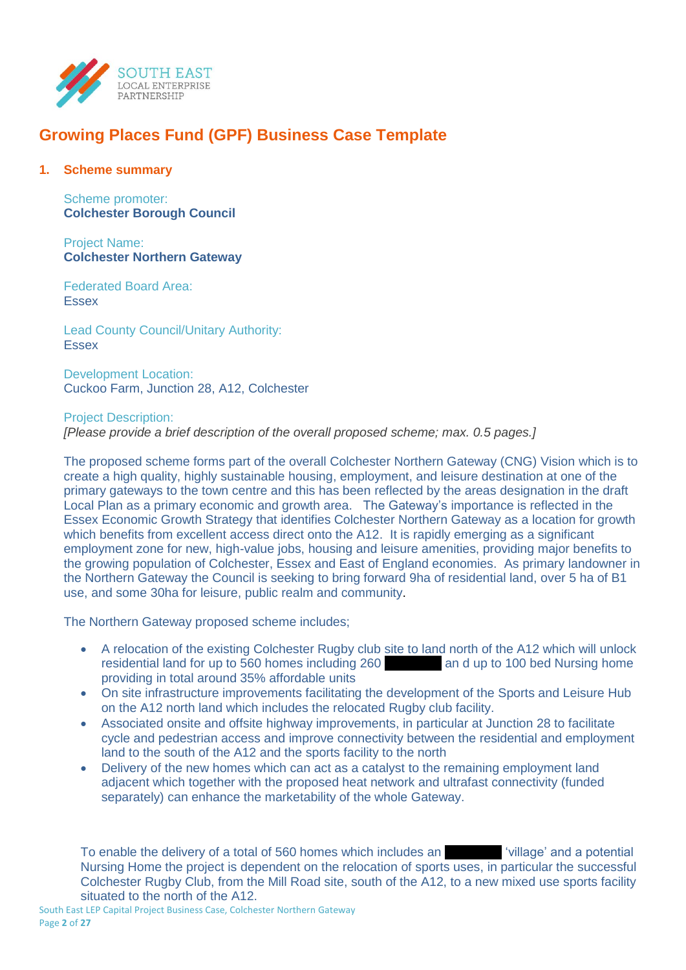

## **Growing Places Fund (GPF) Business Case Template**

#### **1. Scheme summary**

Scheme promoter: **Colchester Borough Council**

Project Name: **Colchester Northern Gateway** 

Federated Board Area: Essex

Lead County Council/Unitary Authority: **Essex** 

Development Location: Cuckoo Farm, Junction 28, A12, Colchester

#### Project Description:

*[Please provide a brief description of the overall proposed scheme; max. 0.5 pages.]*

The proposed scheme forms part of the overall Colchester Northern Gateway (CNG) Vision which is to create a high quality, highly sustainable housing, employment, and leisure destination at one of the primary gateways to the town centre and this has been reflected by the areas designation in the draft Local Plan as a primary economic and growth area. The Gateway's importance is reflected in the Essex Economic Growth Strategy that identifies Colchester Northern Gateway as a location for growth which benefits from excellent access direct onto the A12. It is rapidly emerging as a significant employment zone for new, high-value jobs, housing and leisure amenities, providing major benefits to the growing population of Colchester, Essex and East of England economies. As primary landowner in the Northern Gateway the Council is seeking to bring forward 9ha of residential land, over 5 ha of B1 use, and some 30ha for leisure, public realm and community.

The Northern Gateway proposed scheme includes;

- A relocation of the existing Colchester Rugby club site to land north of the A12 which will unlock residential land for up to 560 homes including 260 xxx and up to 100 bed Nursing home providing in total around 35% affordable units
- On site infrastructure improvements facilitating the development of the Sports and Leisure Hub on the A12 north land which includes the relocated Rugby club facility.
- Associated onsite and offsite highway improvements, in particular at Junction 28 to facilitate cycle and pedestrian access and improve connectivity between the residential and employment land to the south of the A12 and the sports facility to the north
- Delivery of the new homes which can act as a catalyst to the remaining employment land adjacent which together with the proposed heat network and ultrafast connectivity (funded separately) can enhance the marketability of the whole Gateway.

To enable the delivery of a total of 560 homes which includes an *xxx* 'village' and a potential Nursing Home the project is dependent on the relocation of sports uses, in particular the successful Colchester Rugby Club, from the Mill Road site, south of the A12, to a new mixed use sports facility situated to the north of the A12.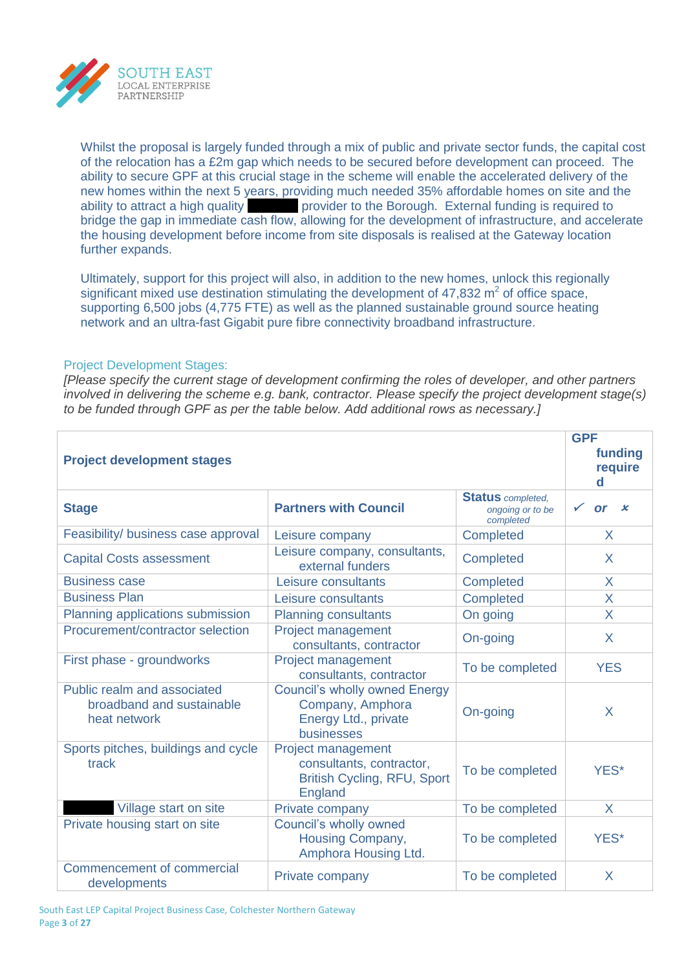

Whilst the proposal is largely funded through a mix of public and private sector funds, the capital cost of the relocation has a £2m gap which needs to be secured before development can proceed. The ability to secure GPF at this crucial stage in the scheme will enable the accelerated delivery of the new homes within the next 5 years, providing much needed 35% affordable homes on site and the ability to attract a high quality **xxx provider to the Borough.** External funding is required to bridge the gap in immediate cash flow, allowing for the development of infrastructure, and accelerate the housing development before income from site disposals is realised at the Gateway location further expands.

Ultimately, support for this project will also, in addition to the new homes, unlock this regionally significant mixed use destination stimulating the development of  $47,832$  m<sup>2</sup> of office space, supporting 6,500 jobs (4,775 FTE) as well as the planned sustainable ground source heating network and an ultra-fast Gigabit pure fibre connectivity broadband infrastructure.

#### Project Development Stages:

*[Please specify the current stage of development confirming the roles of developer, and other partners involved in delivering the scheme e.g. bank, contractor. Please specify the project development stage(s) to be funded through GPF as per the table below. Add additional rows as necessary.]*

| <b>Project development stages</b>                                        |                                                                                                        |                                                           |                         |  |  |  |  |
|--------------------------------------------------------------------------|--------------------------------------------------------------------------------------------------------|-----------------------------------------------------------|-------------------------|--|--|--|--|
| <b>Stage</b>                                                             | <b>Partners with Council</b>                                                                           | <b>Status</b> completed,<br>ongoing or to be<br>completed | $\checkmark$<br>x<br>or |  |  |  |  |
| Feasibility/ business case approval                                      | Leisure company                                                                                        | <b>Completed</b>                                          | X                       |  |  |  |  |
| <b>Capital Costs assessment</b>                                          | Leisure company, consultants,<br>external funders                                                      | Completed                                                 | X                       |  |  |  |  |
| <b>Business case</b>                                                     | Leisure consultants                                                                                    | Completed                                                 | X                       |  |  |  |  |
| <b>Business Plan</b>                                                     | Leisure consultants                                                                                    | Completed                                                 | X                       |  |  |  |  |
| Planning applications submission                                         | <b>Planning consultants</b>                                                                            | On going                                                  | X                       |  |  |  |  |
| Procurement/contractor selection                                         | Project management<br>consultants, contractor                                                          | On-going                                                  | X                       |  |  |  |  |
| First phase - groundworks                                                | Project management<br>consultants, contractor                                                          | To be completed                                           | <b>YES</b>              |  |  |  |  |
| Public realm and associated<br>broadband and sustainable<br>heat network | <b>Council's wholly owned Energy</b><br>Company, Amphora<br>Energy Ltd., private<br>businesses         | On-going                                                  | X                       |  |  |  |  |
| Sports pitches, buildings and cycle<br>track                             | Project management<br>consultants, contractor,<br><b>British Cycling, RFU, Sport</b><br><b>England</b> | To be completed                                           | YES*                    |  |  |  |  |
| Village start on site                                                    | Private company                                                                                        | To be completed                                           | X                       |  |  |  |  |
| Private housing start on site                                            | Council's wholly owned<br>Housing Company,<br>Amphora Housing Ltd.                                     | To be completed                                           | YES*                    |  |  |  |  |
| Commencement of commercial<br>developments                               | Private company                                                                                        | To be completed                                           | X                       |  |  |  |  |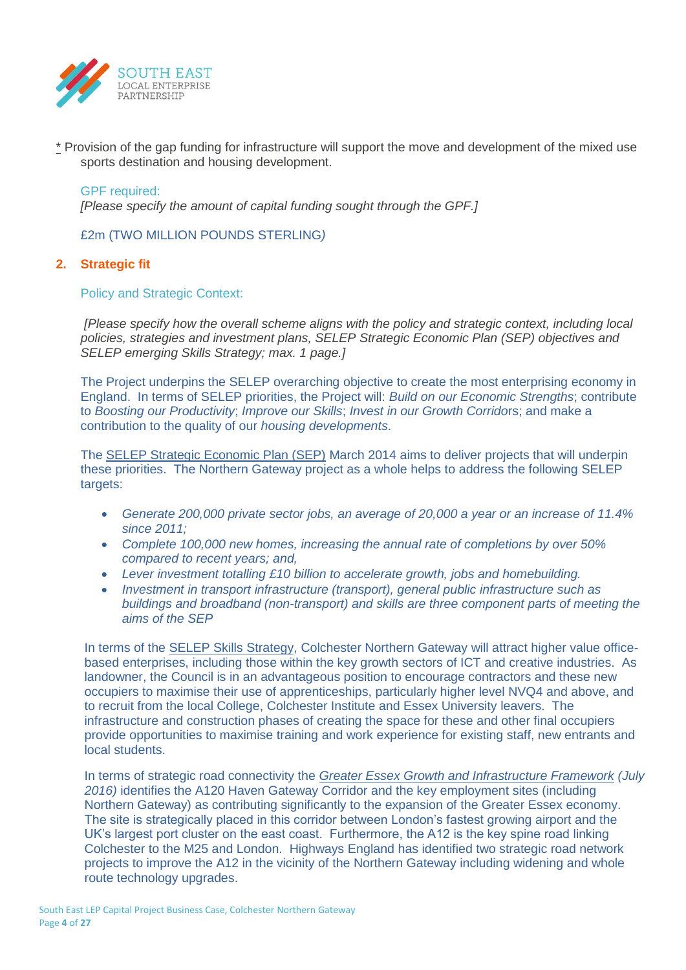

\* Provision of the gap funding for infrastructure will support the move and development of the mixed use sports destination and housing development.

#### GPF required:

*[Please specify the amount of capital funding sought through the GPF.]*

£2m (TWO MILLION POUNDS STERLING*)*

## **2. Strategic fit**

Policy and Strategic Context:

*[Please specify how the overall scheme aligns with the policy and strategic context, including local policies, strategies and investment plans, SELEP Strategic Economic Plan (SEP) objectives and SELEP emerging Skills Strategy; max. 1 page.]* 

The Project underpins the SELEP overarching objective to create the most enterprising economy in England. In terms of SELEP priorities, the Project will: *Build on our Economic Strengths*; contribute to *Boosting our Productivity*; *Improve our Skills*; *Invest in our Growth Corrido*rs; and make a contribution to the quality of our *housing developments*.

The SELEP Strategic Economic Plan (SEP) March 2014 aims to deliver projects that will underpin these priorities. The Northern Gateway project as a whole helps to address the following SELEP targets:

- *Generate 200,000 private sector jobs, an average of 20,000 a year or an increase of 11.4% since 2011;*
- *Complete 100,000 new homes, increasing the annual rate of completions by over 50% compared to recent years; and,*
- *Lever investment totalling £10 billion to accelerate growth, jobs and homebuilding.*
- *Investment in transport infrastructure (transport), general public infrastructure such as buildings and broadband (non-transport) and skills are three component parts of meeting the aims of the SEP*

In terms of the SELEP Skills Strategy, Colchester Northern Gateway will attract higher value officebased enterprises, including those within the key growth sectors of ICT and creative industries. As landowner, the Council is in an advantageous position to encourage contractors and these new occupiers to maximise their use of apprenticeships, particularly higher level NVQ4 and above, and to recruit from the local College, Colchester Institute and Essex University leavers. The infrastructure and construction phases of creating the space for these and other final occupiers provide opportunities to maximise training and work experience for existing staff, new entrants and local students.

In terms of strategic road connectivity the *Greater Essex Growth and Infrastructure Framework (July 2016)* identifies the A120 Haven Gateway Corridor and the key employment sites (including Northern Gateway) as contributing significantly to the expansion of the Greater Essex economy. The site is strategically placed in this corridor between London's fastest growing airport and the UK's largest port cluster on the east coast. Furthermore, the A12 is the key spine road linking Colchester to the M25 and London. Highways England has identified two strategic road network projects to improve the A12 in the vicinity of the Northern Gateway including widening and whole route technology upgrades.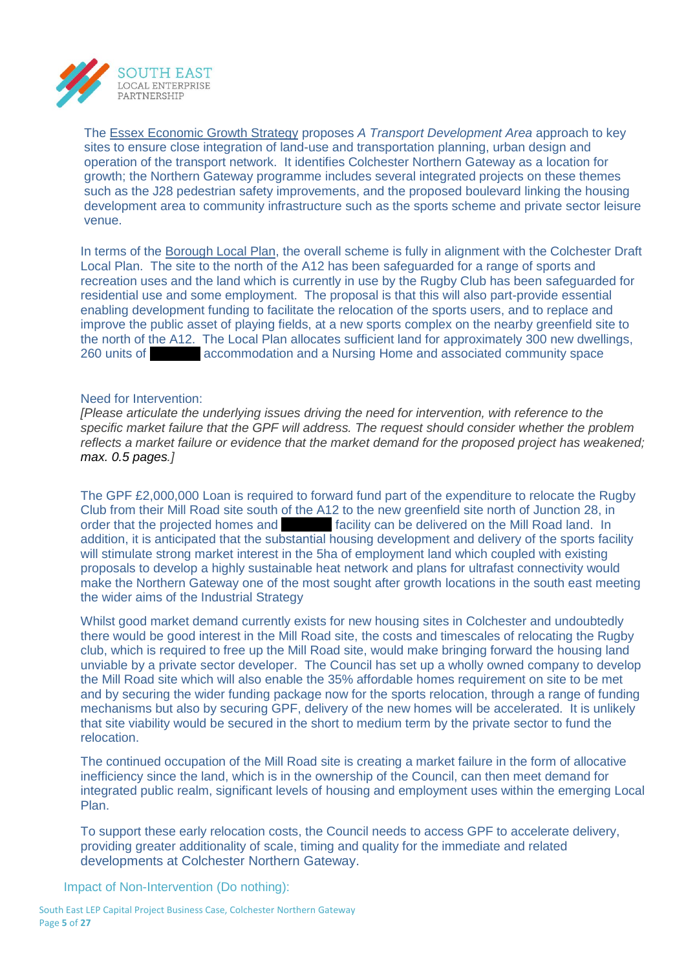

The Essex Economic Growth Strategy proposes *A Transport Development Area* approach to key sites to ensure close integration of land-use and transportation planning, urban design and operation of the transport network. It identifies Colchester Northern Gateway as a location for growth; the Northern Gateway programme includes several integrated projects on these themes such as the J28 pedestrian safety improvements, and the proposed boulevard linking the housing development area to community infrastructure such as the sports scheme and private sector leisure venue.

In terms of the Borough Local Plan, the overall scheme is fully in alignment with the Colchester Draft Local Plan. The site to the north of the A12 has been safeguarded for a range of sports and recreation uses and the land which is currently in use by the Rugby Club has been safeguarded for residential use and some employment. The proposal is that this will also part-provide essential enabling development funding to facilitate the relocation of the sports users, and to replace and improve the public asset of playing fields, at a new sports complex on the nearby greenfield site to the north of the A12. The Local Plan allocates sufficient land for approximately 300 new dwellings, 260 units of **zo-interest accommodation and a Nursing Home and associated community space** 

#### Need for Intervention:

*[Please articulate the underlying issues driving the need for intervention, with reference to the specific market failure that the GPF will address. The request should consider whether the problem reflects a market failure or evidence that the market demand for the proposed project has weakened; max. 0.5 pages.]*

The GPF £2,000,000 Loan is required to forward fund part of the expenditure to relocate the Rugby Club from their Mill Road site south of the A12 to the new greenfield site north of Junction 28, in order that the projected homes and **xxxx facility can be delivered on the Mill Road land.** In addition, it is anticipated that the substantial housing development and delivery of the sports facility will stimulate strong market interest in the 5ha of employment land which coupled with existing proposals to develop a highly sustainable heat network and plans for ultrafast connectivity would make the Northern Gateway one of the most sought after growth locations in the south east meeting the wider aims of the Industrial Strategy

Whilst good market demand currently exists for new housing sites in Colchester and undoubtedly there would be good interest in the Mill Road site, the costs and timescales of relocating the Rugby club, which is required to free up the Mill Road site, would make bringing forward the housing land unviable by a private sector developer. The Council has set up a wholly owned company to develop the Mill Road site which will also enable the 35% affordable homes requirement on site to be met and by securing the wider funding package now for the sports relocation, through a range of funding mechanisms but also by securing GPF, delivery of the new homes will be accelerated. It is unlikely that site viability would be secured in the short to medium term by the private sector to fund the relocation.

The continued occupation of the Mill Road site is creating a market failure in the form of allocative inefficiency since the land, which is in the ownership of the Council, can then meet demand for integrated public realm, significant levels of housing and employment uses within the emerging Local Plan.

To support these early relocation costs, the Council needs to access GPF to accelerate delivery, providing greater additionality of scale, timing and quality for the immediate and related developments at Colchester Northern Gateway.

Impact of Non-Intervention (Do nothing):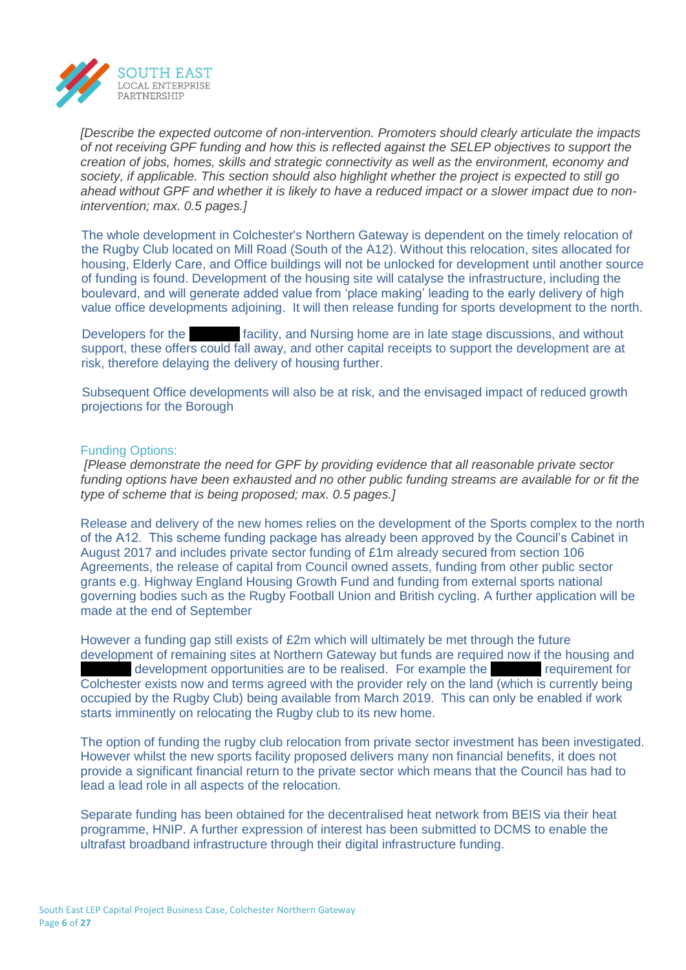

*[Describe the expected outcome of non-intervention. Promoters should clearly articulate the impacts of not receiving GPF funding and how this is reflected against the SELEP objectives to support the creation of jobs, homes, skills and strategic connectivity as well as the environment, economy and society, if applicable. This section should also highlight whether the project is expected to still go ahead without GPF and whether it is likely to have a reduced impact or a slower impact due to nonintervention; max. 0.5 pages.]*

The whole development in Colchester's Northern Gateway is dependent on the timely relocation of the Rugby Club located on Mill Road (South of the A12). Without this relocation, sites allocated for housing, Elderly Care, and Office buildings will not be unlocked for development until another source of funding is found. Development of the housing site will catalyse the infrastructure, including the boulevard, and will generate added value from 'place making' leading to the early delivery of high value office developments adjoining. It will then release funding for sports development to the north.

Developers for the **zata facility, and Nursing home are in late stage discussions, and without** support, these offers could fall away, and other capital receipts to support the development are at risk, therefore delaying the delivery of housing further.

Subsequent Office developments will also be at risk, and the envisaged impact of reduced growth projections for the Borough

#### Funding Options:

*[Please demonstrate the need for GPF by providing evidence that all reasonable private sector funding options have been exhausted and no other public funding streams are available for or fit the type of scheme that is being proposed; max. 0.5 pages.]*

Release and delivery of the new homes relies on the development of the Sports complex to the north of the A12. This scheme funding package has already been approved by the Council's Cabinet in August 2017 and includes private sector funding of £1m already secured from section 106 Agreements, the release of capital from Council owned assets, funding from other public sector grants e.g. Highway England Housing Growth Fund and funding from external sports national governing bodies such as the Rugby Football Union and British cycling. A further application will be made at the end of September

However a funding gap still exists of £2m which will ultimately be met through the future development of remaining sites at Northern Gateway but funds are required now if the housing and development opportunities are to be realised. For example the same requirement for Colchester exists now and terms agreed with the provider rely on the land (which is currently being occupied by the Rugby Club) being available from March 2019. This can only be enabled if work starts imminently on relocating the Rugby club to its new home.

The option of funding the rugby club relocation from private sector investment has been investigated. However whilst the new sports facility proposed delivers many non financial benefits, it does not provide a significant financial return to the private sector which means that the Council has had to lead a lead role in all aspects of the relocation.

Separate funding has been obtained for the decentralised heat network from BEIS via their heat programme, HNIP. A further expression of interest has been submitted to DCMS to enable the ultrafast broadband infrastructure through their digital infrastructure funding.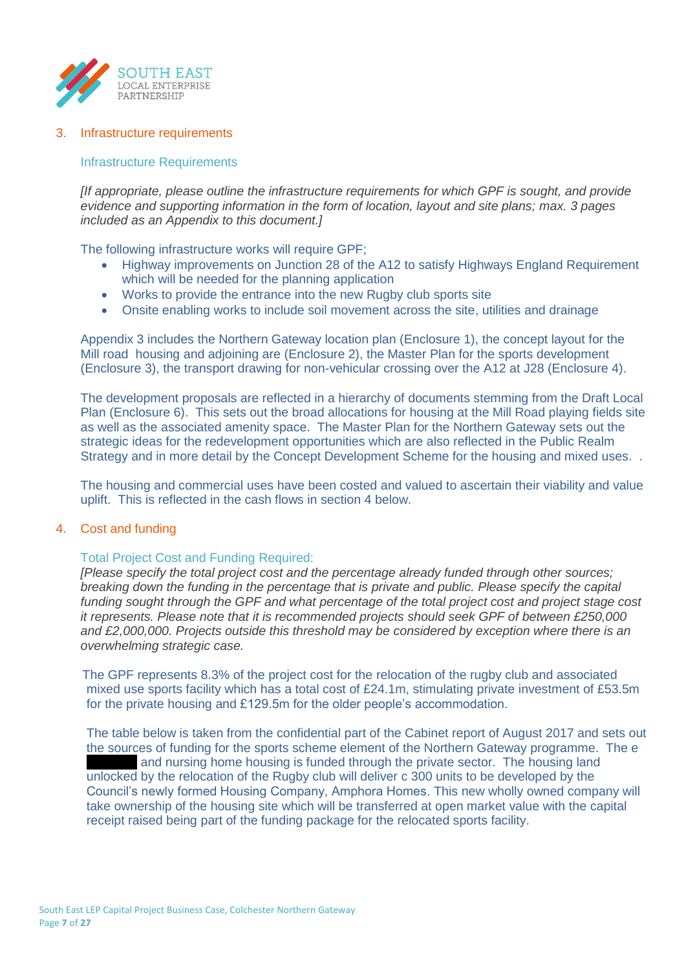

#### 3. Infrastructure requirements

#### Infrastructure Requirements

*[If appropriate, please outline the infrastructure requirements for which GPF is sought, and provide evidence and supporting information in the form of location, layout and site plans; max. 3 pages included as an Appendix to this document.]*

The following infrastructure works will require GPF;

- Highway improvements on Junction 28 of the A12 to satisfy Highways England Requirement which will be needed for the planning application
- Works to provide the entrance into the new Rugby club sports site
- Onsite enabling works to include soil movement across the site, utilities and drainage

Appendix 3 includes the Northern Gateway location plan (Enclosure 1), the concept layout for the Mill road housing and adjoining are (Enclosure 2), the Master Plan for the sports development (Enclosure 3), the transport drawing for non-vehicular crossing over the A12 at J28 (Enclosure 4).

The development proposals are reflected in a hierarchy of documents stemming from the Draft Local Plan (Enclosure 6). This sets out the broad allocations for housing at the Mill Road playing fields site as well as the associated amenity space. The Master Plan for the Northern Gateway sets out the strategic ideas for the redevelopment opportunities which are also reflected in the Public Realm Strategy and in more detail by the Concept Development Scheme for the housing and mixed uses. .

The housing and commercial uses have been costed and valued to ascertain their viability and value uplift. This is reflected in the cash flows in section 4 below.

#### 4. Cost and funding

#### Total Project Cost and Funding Required:

*[Please specify the total project cost and the percentage already funded through other sources; breaking down the funding in the percentage that is private and public. Please specify the capital funding sought through the GPF and what percentage of the total project cost and project stage cost it represents. Please note that it is recommended projects should seek GPF of between £250,000 and £2,000,000. Projects outside this threshold may be considered by exception where there is an overwhelming strategic case.*

The GPF represents 8.3% of the project cost for the relocation of the rugby club and associated mixed use sports facility which has a total cost of £24.1m, stimulating private investment of £53.5m for the private housing and £129.5m for the older people's accommodation.

The table below is taken from the confidential part of the Cabinet report of August 2017 and sets out the sources of funding for the sports scheme element of the Northern Gateway programme. The e and nursing home housing is funded through the private sector. The housing land unlocked by the relocation of the Rugby club will deliver c 300 units to be developed by the Council's newly formed Housing Company, Amphora Homes. This new wholly owned company will take ownership of the housing site which will be transferred at open market value with the capital receipt raised being part of the funding package for the relocated sports facility.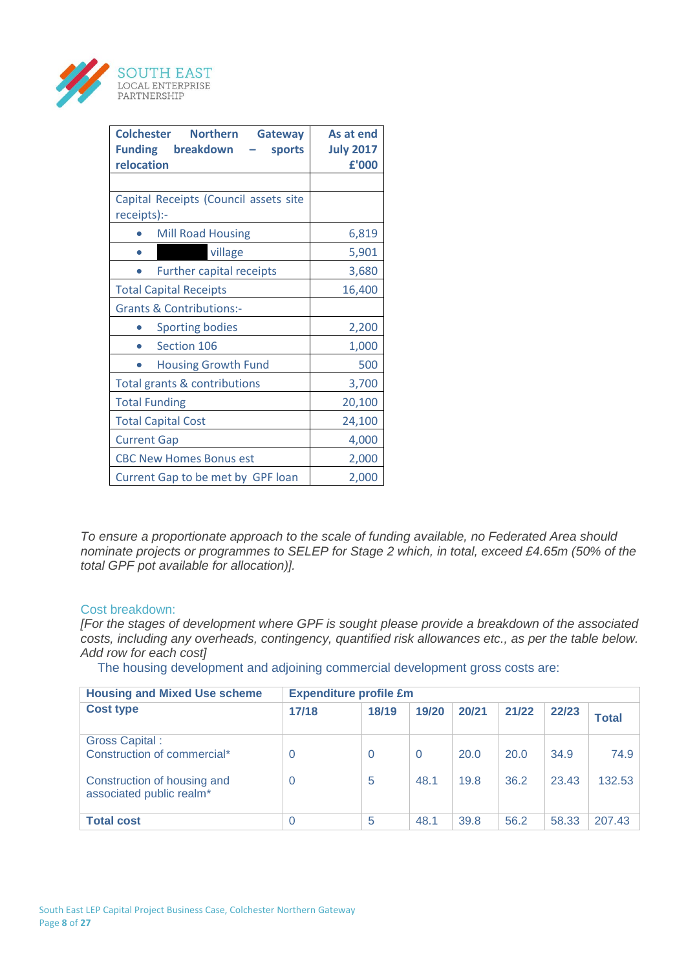

| <b>Colchester</b><br><b>Northern</b><br><b>Gateway</b><br>breakdown<br><b>Funding</b><br>sports<br>relocation | As at end<br><b>July 2017</b><br>£'000 |  |  |  |  |  |  |  |  |
|---------------------------------------------------------------------------------------------------------------|----------------------------------------|--|--|--|--|--|--|--|--|
|                                                                                                               |                                        |  |  |  |  |  |  |  |  |
| Capital Receipts (Council assets site<br>receipts):-                                                          |                                        |  |  |  |  |  |  |  |  |
| <b>Mill Road Housing</b>                                                                                      | 6,819                                  |  |  |  |  |  |  |  |  |
| village                                                                                                       | 5,901                                  |  |  |  |  |  |  |  |  |
| <b>Further capital receipts</b>                                                                               | 3,680                                  |  |  |  |  |  |  |  |  |
| <b>Total Capital Receipts</b>                                                                                 | 16,400                                 |  |  |  |  |  |  |  |  |
| <b>Grants &amp; Contributions:-</b>                                                                           |                                        |  |  |  |  |  |  |  |  |
| <b>Sporting bodies</b>                                                                                        | 2,200                                  |  |  |  |  |  |  |  |  |
| Section 106                                                                                                   | 1,000                                  |  |  |  |  |  |  |  |  |
| <b>Housing Growth Fund</b>                                                                                    | 500                                    |  |  |  |  |  |  |  |  |
| Total grants & contributions                                                                                  | 3,700                                  |  |  |  |  |  |  |  |  |
| <b>Total Funding</b>                                                                                          | 20,100                                 |  |  |  |  |  |  |  |  |
| <b>Total Capital Cost</b>                                                                                     | 24,100                                 |  |  |  |  |  |  |  |  |
| <b>Current Gap</b>                                                                                            | 4,000                                  |  |  |  |  |  |  |  |  |
| <b>CBC New Homes Bonus est</b>                                                                                | 2,000                                  |  |  |  |  |  |  |  |  |
| Current Gap to be met by GPF loan                                                                             | 2,000                                  |  |  |  |  |  |  |  |  |

*To ensure a proportionate approach to the scale of funding available, no Federated Area should nominate projects or programmes to SELEP for Stage 2 which, in total, exceed £4.65m (50% of the total GPF pot available for allocation)].*

#### Cost breakdown:

*[For the stages of development where GPF is sought please provide a breakdown of the associated costs, including any overheads, contingency, quantified risk allowances etc., as per the table below. Add row for each cost]*

The housing development and adjoining commercial development gross costs are:

| <b>Housing and Mixed Use scheme</b>                                                                             | <b>Expenditure profile £m</b> |               |                  |              |              |               |                |  |
|-----------------------------------------------------------------------------------------------------------------|-------------------------------|---------------|------------------|--------------|--------------|---------------|----------------|--|
| <b>Cost type</b>                                                                                                | 17/18                         | 18/19         | 19/20            | 20/21        | 21/22        | 22/23         | <b>Total</b>   |  |
| <b>Gross Capital:</b><br>Construction of commercial*<br>Construction of housing and<br>associated public realm* | 0<br>$\overline{0}$           | $\Omega$<br>5 | $\Omega$<br>48.1 | 20.0<br>19.8 | 20.0<br>36.2 | 34.9<br>23.43 | 74.9<br>132.53 |  |
| <b>Total cost</b>                                                                                               | 0                             | 5             | 48.1             | 39.8         | 56.2         | 58.33         | 207.43         |  |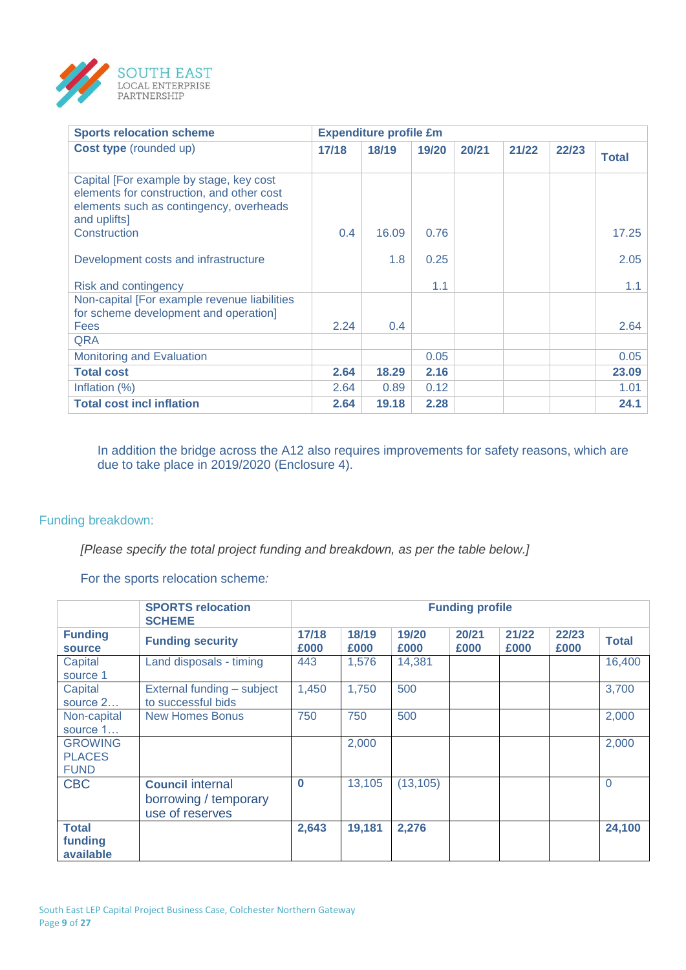

| <b>Sports relocation scheme</b>                                                                                                                 |       | <b>Expenditure profile £m</b> |       |       |       |       |              |
|-------------------------------------------------------------------------------------------------------------------------------------------------|-------|-------------------------------|-------|-------|-------|-------|--------------|
| <b>Cost type</b> (rounded up)                                                                                                                   | 17/18 | 18/19                         | 19/20 | 20/21 | 21/22 | 22/23 | <b>Total</b> |
| Capital [For example by stage, key cost<br>elements for construction, and other cost<br>elements such as contingency, overheads<br>and uplifts] |       |                               |       |       |       |       |              |
| Construction                                                                                                                                    | 0.4   | 16.09                         | 0.76  |       |       |       | 17.25        |
| Development costs and infrastructure                                                                                                            |       | 1.8                           | 0.25  |       |       |       | 2.05         |
| <b>Risk and contingency</b>                                                                                                                     |       |                               | 1.1   |       |       |       | 1.1          |
| Non-capital [For example revenue liabilities<br>for scheme development and operation]                                                           |       |                               |       |       |       |       |              |
| <b>Fees</b>                                                                                                                                     | 2.24  | 0.4                           |       |       |       |       | 2.64         |
| <b>QRA</b>                                                                                                                                      |       |                               |       |       |       |       |              |
| <b>Monitoring and Evaluation</b>                                                                                                                |       |                               | 0.05  |       |       |       | 0.05         |
| <b>Total cost</b>                                                                                                                               | 2.64  | 18.29                         | 2.16  |       |       |       | 23.09        |
| Inflation $(\%)$                                                                                                                                | 2.64  | 0.89                          | 0.12  |       |       |       | 1.01         |
| <b>Total cost incl inflation</b>                                                                                                                | 2.64  | 19.18                         | 2.28  |       |       |       | 24.1         |

In addition the bridge across the A12 also requires improvements for safety reasons, which are due to take place in 2019/2020 (Enclosure 4).

#### Funding breakdown:

*[Please specify the total project funding and breakdown, as per the table below.]*

For the sports relocation scheme*:*

|                                                | <b>SPORTS relocation</b><br><b>SCHEME</b>                           | <b>Funding profile</b> |               |               |               |               |               |              |
|------------------------------------------------|---------------------------------------------------------------------|------------------------|---------------|---------------|---------------|---------------|---------------|--------------|
| <b>Funding</b><br><b>source</b>                | <b>Funding security</b>                                             | 17/18<br>£000          | 18/19<br>£000 | 19/20<br>£000 | 20/21<br>£000 | 21/22<br>£000 | 22/23<br>£000 | <b>Total</b> |
| Capital<br>source 1                            | Land disposals - timing                                             | 443                    | 1,576         | 14,381        |               |               |               | 16,400       |
| Capital<br>source 2                            | External funding - subject<br>to successful bids                    | 1,450                  | 1,750         | 500           |               |               |               | 3,700        |
| Non-capital<br>source 1                        | <b>New Homes Bonus</b>                                              | 750                    | 750           | 500           |               |               |               | 2,000        |
| <b>GROWING</b><br><b>PLACES</b><br><b>FUND</b> |                                                                     |                        | 2,000         |               |               |               |               | 2,000        |
| <b>CBC</b>                                     | <b>Council internal</b><br>borrowing / temporary<br>use of reserves | $\bf{0}$               | 13,105        | (13, 105)     |               |               |               | $\Omega$     |
| <b>Total</b><br>funding<br>available           |                                                                     | 2,643                  | 19,181        | 2,276         |               |               |               | 24,100       |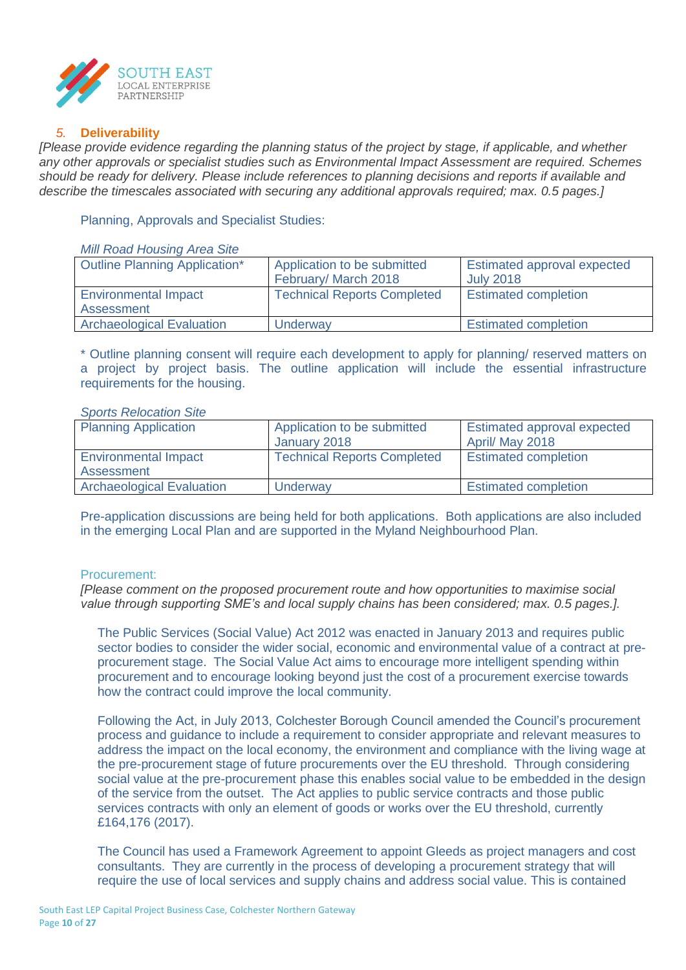

#### *5.* **Deliverability**

*[Please provide evidence regarding the planning status of the project by stage, if applicable, and whether any other approvals or specialist studies such as Environmental Impact Assessment are required. Schemes should be ready for delivery. Please include references to planning decisions and reports if available and describe the timescales associated with securing any additional approvals required; max. 0.5 pages.]*

Planning, Approvals and Specialist Studies:

#### *Mill Road Housing Area Site*

| <b>Outline Planning Application*</b> | Application to be submitted        | Estimated approval expected |
|--------------------------------------|------------------------------------|-----------------------------|
|                                      | February/ March 2018               | <b>July 2018</b>            |
| <b>Environmental Impact</b>          | <b>Technical Reports Completed</b> | <b>Estimated completion</b> |
| Assessment                           |                                    |                             |
| <b>Archaeological Evaluation</b>     | Underway                           | <b>Estimated completion</b> |

\* Outline planning consent will require each development to apply for planning/ reserved matters on a project by project basis. The outline application will include the essential infrastructure requirements for the housing.

#### *Sports Relocation Site*

| <b>Planning Application</b>               | Application to be submitted<br>January 2018 | <b>Estimated approval expected</b><br>April/ May 2018 |
|-------------------------------------------|---------------------------------------------|-------------------------------------------------------|
| <b>Environmental Impact</b><br>Assessment | <b>Technical Reports Completed</b>          | <b>Estimated completion</b>                           |
| <b>Archaeological Evaluation</b>          | Underway                                    | <b>Estimated completion</b>                           |

Pre-application discussions are being held for both applications. Both applications are also included in the emerging Local Plan and are supported in the Myland Neighbourhood Plan.

#### Procurement:

*[Please comment on the proposed procurement route and how opportunities to maximise social value through supporting SME's and local supply chains has been considered; max. 0.5 pages.].*

The Public Services (Social Value) Act 2012 was enacted in January 2013 and requires public sector bodies to consider the wider social, economic and environmental value of a contract at preprocurement stage. The Social Value Act aims to encourage more intelligent spending within procurement and to encourage looking beyond just the cost of a procurement exercise towards how the contract could improve the local community.

Following the Act, in July 2013, Colchester Borough Council amended the Council's procurement process and guidance to include a requirement to consider appropriate and relevant measures to address the impact on the local economy, the environment and compliance with the living wage at the pre-procurement stage of future procurements over the EU threshold. Through considering social value at the pre-procurement phase this enables social value to be embedded in the design of the service from the outset. The Act applies to public service contracts and those public services contracts with only an element of goods or works over the EU threshold, currently £164,176 (2017).

The Council has used a Framework Agreement to appoint Gleeds as project managers and cost consultants. They are currently in the process of developing a procurement strategy that will require the use of local services and supply chains and address social value. This is contained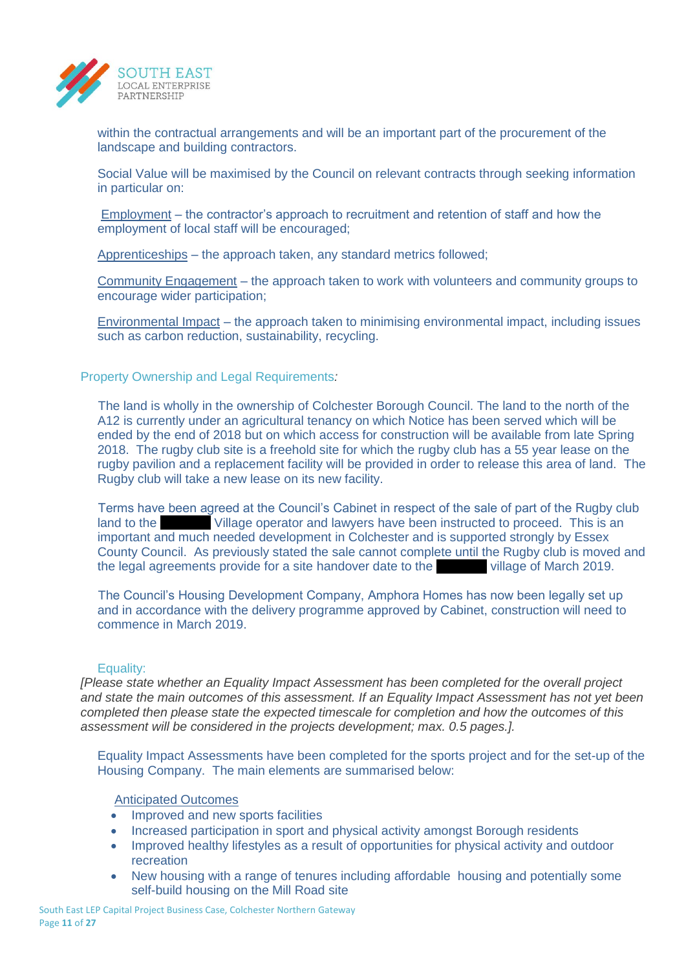

within the contractual arrangements and will be an important part of the procurement of the landscape and building contractors.

Social Value will be maximised by the Council on relevant contracts through seeking information in particular on:

Employment – the contractor's approach to recruitment and retention of staff and how the employment of local staff will be encouraged;

Apprenticeships – the approach taken, any standard metrics followed;

Community Engagement – the approach taken to work with volunteers and community groups to encourage wider participation;

Environmental Impact – the approach taken to minimising environmental impact, including issues such as carbon reduction, sustainability, recycling.

Property Ownership and Legal Requirements*:*

The land is wholly in the ownership of Colchester Borough Council. The land to the north of the A12 is currently under an agricultural tenancy on which Notice has been served which will be ended by the end of 2018 but on which access for construction will be available from late Spring 2018. The rugby club site is a freehold site for which the rugby club has a 55 year lease on the rugby pavilion and a replacement facility will be provided in order to release this area of land. The Rugby club will take a new lease on its new facility.

Terms have been agreed at the Council's Cabinet in respect of the sale of part of the Rugby club land to the xxxxxxxx Village operator and lawyers have been instructed to proceed. This is an important and much needed development in Colchester and is supported strongly by Essex County Council. As previously stated the sale cannot complete until the Rugby club is moved and the legal agreements provide for a site handover date to the village of March 2019.

The Council's Housing Development Company, Amphora Homes has now been legally set up and in accordance with the delivery programme approved by Cabinet, construction will need to commence in March 2019.

#### Equality:

*[Please state whether an Equality Impact Assessment has been completed for the overall project and state the main outcomes of this assessment. If an Equality Impact Assessment has not yet been completed then please state the expected timescale for completion and how the outcomes of this assessment will be considered in the projects development; max. 0.5 pages.].*

Equality Impact Assessments have been completed for the sports project and for the set-up of the Housing Company. The main elements are summarised below:

#### Anticipated Outcomes

- Improved and new sports facilities
- Increased participation in sport and physical activity amongst Borough residents
- Improved healthy lifestyles as a result of opportunities for physical activity and outdoor recreation
- New housing with a range of tenures including affordable housing and potentially some self-build housing on the Mill Road site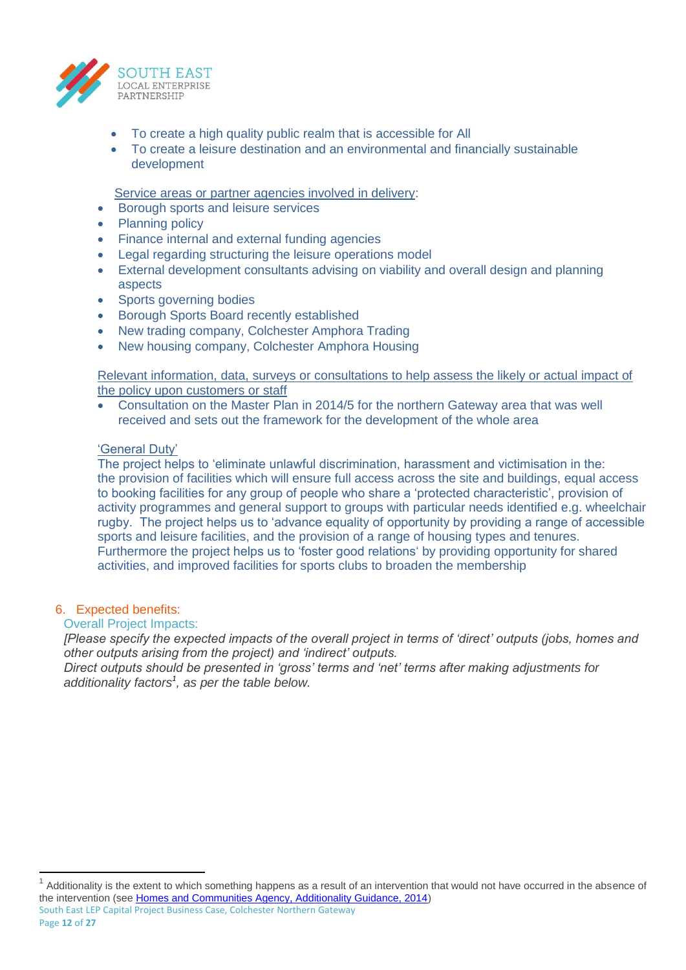

- To create a high quality public realm that is accessible for All
- To create a leisure destination and an environmental and financially sustainable development

Service areas or partner agencies involved in delivery:

- Borough sports and leisure services
- Planning policy
- Finance internal and external funding agencies
- Legal regarding structuring the leisure operations model
- External development consultants advising on viability and overall design and planning aspects
- Sports governing bodies
- Borough Sports Board recently established
- New trading company, Colchester Amphora Trading
- New housing company, Colchester Amphora Housing

Relevant information, data, surveys or consultations to help assess the likely or actual impact of the policy upon customers or staff

 Consultation on the Master Plan in 2014/5 for the northern Gateway area that was well received and sets out the framework for the development of the whole area

#### 'General Duty'

The project helps to 'eliminate unlawful discrimination, harassment and victimisation in the: the provision of facilities which will ensure full access across the site and buildings, equal access to booking facilities for any group of people who share a 'protected characteristic', provision of activity programmes and general support to groups with particular needs identified e.g. wheelchair rugby. The project helps us to 'advance equality of opportunity by providing a range of accessible sports and leisure facilities, and the provision of a range of housing types and tenures. Furthermore the project helps us to 'foster good relations' by providing opportunity for shared activities, and improved facilities for sports clubs to broaden the membership

#### 6. Expected benefits:

#### Overall Project Impacts:

*[Please specify the expected impacts of the overall project in terms of 'direct' outputs (jobs, homes and other outputs arising from the project) and 'indirect' outputs.* 

*Direct outputs should be presented in 'gross' terms and 'net' terms after making adjustments for additionality factors<sup>1</sup> , as per the table below.*

 $\overline{a}$ 

South East LEP Capital Project Business Case, Colchester Northern Gateway 1 Additionality is the extent to which something happens as a result of an intervention that would not have occurred in the absence of the intervention (see [Homes and Communities Agency, Additionality Guidance, 2014\)](https://www.gov.uk/government/uploads/system/uploads/attachment_data/file/378177/additionality_guide_2014_full.pdf)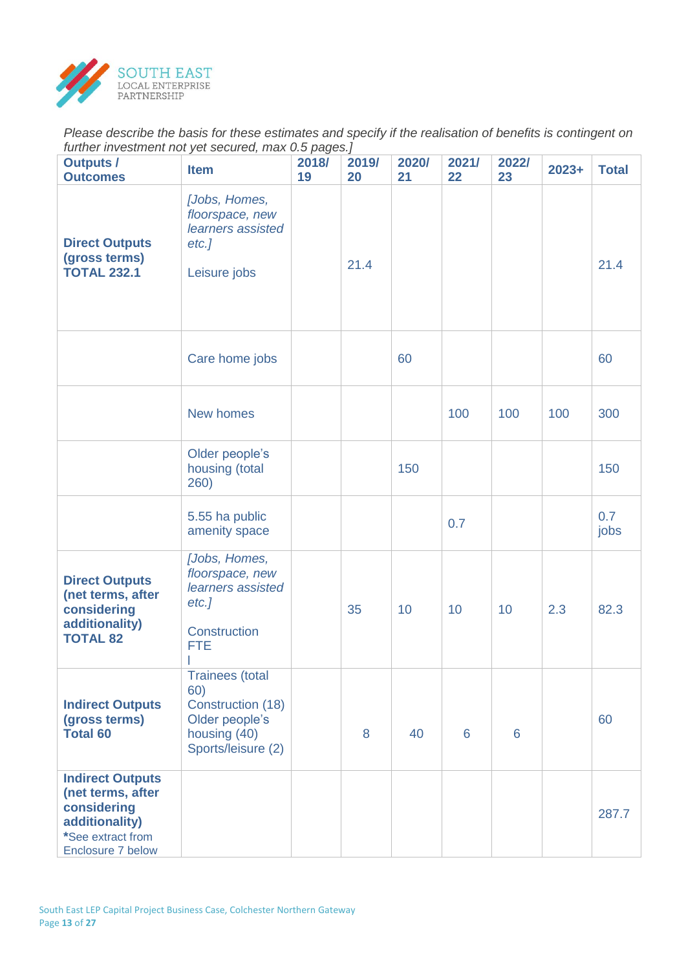

*Please describe the basis for these estimates and specify if the realisation of benefits is contingent on further investment not yet secured, max 0.5 pages.]*

| <b>Outputs /</b><br><b>Outcomes</b>                                                                                     | <b>Item</b>                                                                                                | r - J -<br>2018/<br>19 | 2019/<br>20 | 2020/<br>21 | 2021/<br>22 | 2022/<br>23 | $2023+$ | <b>Total</b> |
|-------------------------------------------------------------------------------------------------------------------------|------------------------------------------------------------------------------------------------------------|------------------------|-------------|-------------|-------------|-------------|---------|--------------|
| <b>Direct Outputs</b><br>(gross terms)<br><b>TOTAL 232.1</b>                                                            | [Jobs, Homes,<br>floorspace, new<br>learners assisted<br>$etc.$ ]<br>Leisure jobs                          |                        | 21.4        |             |             |             |         | 21.4         |
|                                                                                                                         | Care home jobs                                                                                             |                        |             | 60          |             |             |         | 60           |
|                                                                                                                         | New homes                                                                                                  |                        |             |             | 100         | 100         | 100     | 300          |
|                                                                                                                         | Older people's<br>housing (total<br>260)                                                                   |                        |             | 150         |             |             |         | 150          |
|                                                                                                                         | 5.55 ha public<br>amenity space                                                                            |                        |             |             | 0.7         |             |         | 0.7<br>jobs  |
| <b>Direct Outputs</b><br>(net terms, after<br>considering<br>additionality)<br><b>TOTAL 82</b>                          | [Jobs, Homes,<br>floorspace, new<br>learners assisted<br>$etc.$ ]<br>Construction<br><b>FTE</b>            |                        | 35          | 10          | 10          | 10          | 2.3     | 82.3         |
| <b>Indirect Outputs</b><br>(gross terms)<br><b>Total 60</b>                                                             | <b>Trainees</b> (total<br>60)<br>Construction (18)<br>Older people's<br>housing (40)<br>Sports/leisure (2) |                        | 8           | 40          | 6           | 6           |         | 60           |
| <b>Indirect Outputs</b><br>(net terms, after<br>considering<br>additionality)<br>*See extract from<br>Enclosure 7 below |                                                                                                            |                        |             |             |             |             |         | 287.7        |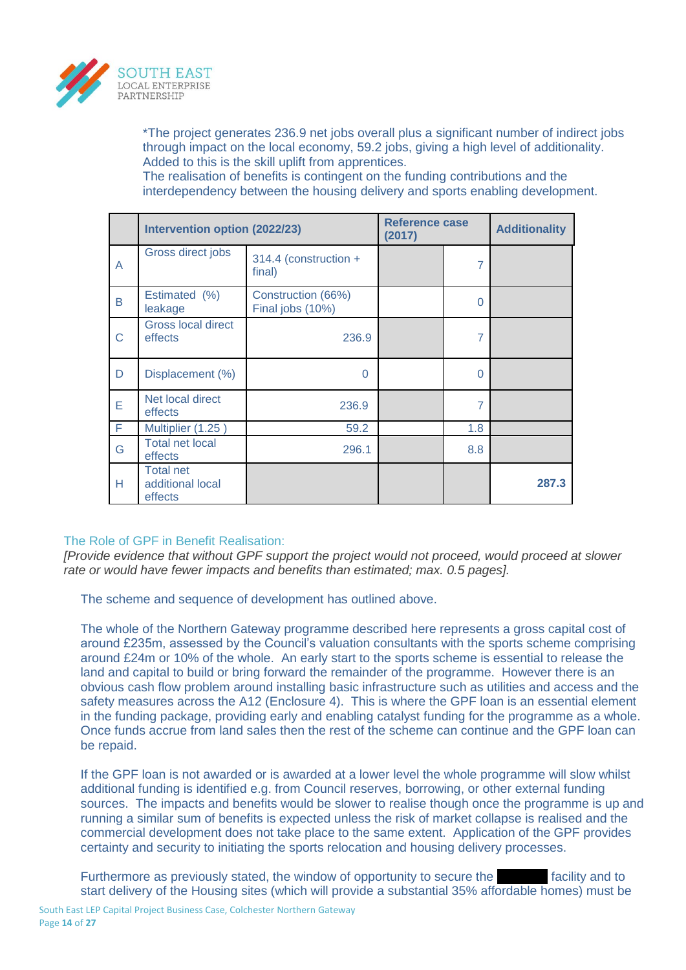

\*The project generates 236.9 net jobs overall plus a significant number of indirect jobs through impact on the local economy, 59.2 jobs, giving a high level of additionality. Added to this is the skill uplift from apprentices.

The realisation of benefits is contingent on the funding contributions and the interdependency between the housing delivery and sports enabling development.

|   | Intervention option (2022/23)                   |                                        | <b>Reference case</b><br>(2017) |                | <b>Additionality</b> |
|---|-------------------------------------------------|----------------------------------------|---------------------------------|----------------|----------------------|
| A | Gross direct jobs                               | 314.4 (construction +<br>final)        |                                 | $\overline{7}$ |                      |
| B | Estimated (%)<br>leakage                        | Construction (66%)<br>Final jobs (10%) |                                 | $\Omega$       |                      |
| C | <b>Gross local direct</b><br>effects            | 236.9                                  |                                 | 7              |                      |
| D | Displacement (%)                                | $\Omega$                               |                                 | $\Omega$       |                      |
| E | Net local direct<br>effects                     | 236.9                                  |                                 | $\overline{7}$ |                      |
| F | Multiplier (1.25)                               | 59.2                                   |                                 | 1.8            |                      |
| G | <b>Total net local</b><br>effects               | 296.1                                  |                                 | 8.8            |                      |
| н | <b>Total net</b><br>additional local<br>effects |                                        |                                 |                | 287.3                |

## The Role of GPF in Benefit Realisation:

*[Provide evidence that without GPF support the project would not proceed, would proceed at slower rate or would have fewer impacts and benefits than estimated; max. 0.5 pages].*

The scheme and sequence of development has outlined above.

The whole of the Northern Gateway programme described here represents a gross capital cost of around £235m, assessed by the Council's valuation consultants with the sports scheme comprising around £24m or 10% of the whole. An early start to the sports scheme is essential to release the land and capital to build or bring forward the remainder of the programme. However there is an obvious cash flow problem around installing basic infrastructure such as utilities and access and the safety measures across the A12 (Enclosure 4). This is where the GPF loan is an essential element in the funding package, providing early and enabling catalyst funding for the programme as a whole. Once funds accrue from land sales then the rest of the scheme can continue and the GPF loan can be repaid.

If the GPF loan is not awarded or is awarded at a lower level the whole programme will slow whilst additional funding is identified e.g. from Council reserves, borrowing, or other external funding sources. The impacts and benefits would be slower to realise though once the programme is up and running a similar sum of benefits is expected unless the risk of market collapse is realised and the commercial development does not take place to the same extent. Application of the GPF provides certainty and security to initiating the sports relocation and housing delivery processes.

Furthermore as previously stated, the window of opportunity to secure the **xxx** facility and to start delivery of the Housing sites (which will provide a substantial 35% affordable homes) must be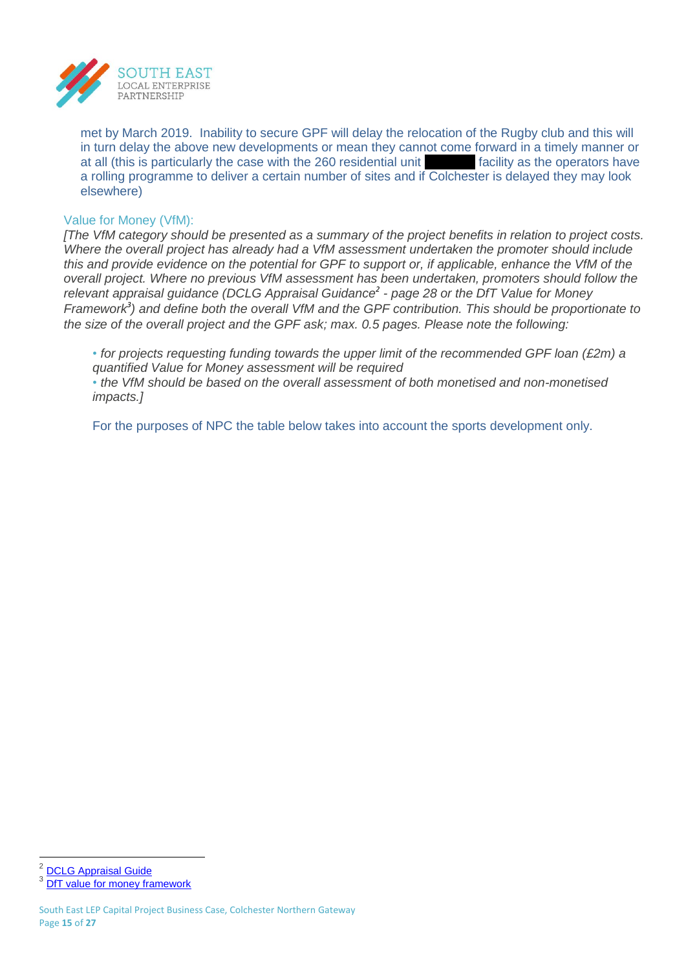

met by March 2019. Inability to secure GPF will delay the relocation of the Rugby club and this will in turn delay the above new developments or mean they cannot come forward in a timely manner or at all (this is particularly the case with the 260 residential unit **xxx** facility as the operators have a rolling programme to deliver a certain number of sites and if Colchester is delayed they may look elsewhere)

#### Value for Money (VfM):

*[The VfM category should be presented as a summary of the project benefits in relation to project costs. Where the overall project has already had a VfM assessment undertaken the promoter should include this and provide evidence on the potential for GPF to support or, if applicable, enhance the VfM of the overall project. Where no previous VfM assessment has been undertaken, promoters should follow the relevant appraisal guidance (DCLG Appraisal Guidance<sup>2</sup> - page 28 or the DfT Value for Money Framework<sup>3</sup> ) and define both the overall VfM and the GPF contribution. This should be proportionate to the size of the overall project and the GPF ask; max. 0.5 pages. Please note the following:*

*• for projects requesting funding towards the upper limit of the recommended GPF loan (£2m) a quantified Value for Money assessment will be required*

*• the VfM should be based on the overall assessment of both monetised and non-monetised impacts.]*

For the purposes of NPC the table below takes into account the sports development only.

 $\overline{a}$ 2 [DCLG Appraisal Guide](https://www.gov.uk/government/uploads/system/uploads/attachment_data/file/576427/161129_Appraisal_Guidance.pdf)

<sup>3</sup> [DfT value for money framework](https://www.gov.uk/government/publications/dft-value-for-money-framework)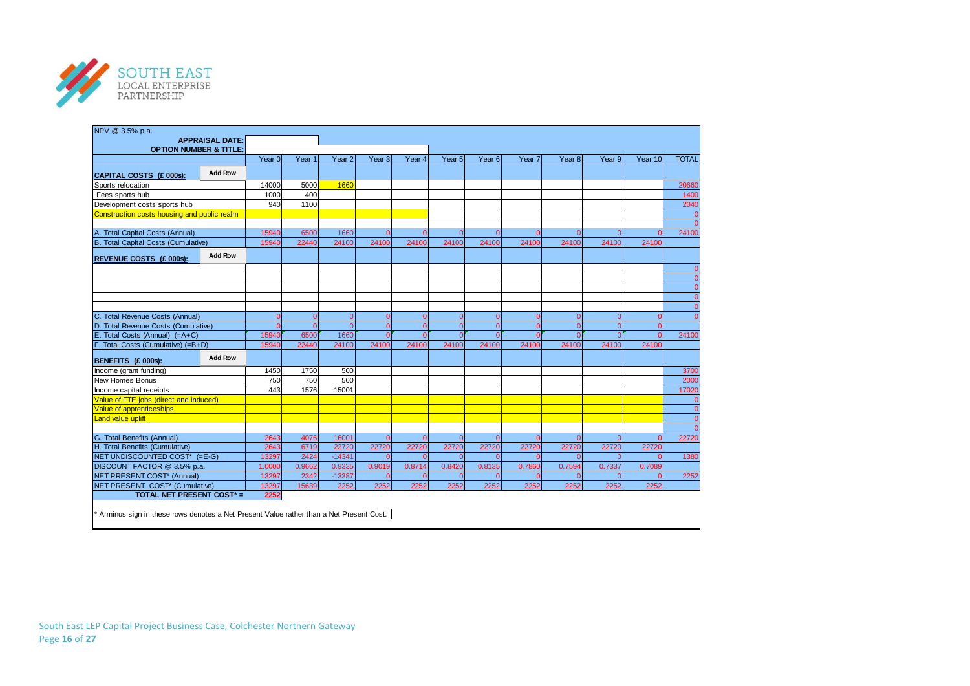

| NPV @ 3.5% p.a.                                                                          |                        |                            |                      |                      |                                  |                      |                            |                      |                      |          |                    |                      |                                |
|------------------------------------------------------------------------------------------|------------------------|----------------------------|----------------------|----------------------|----------------------------------|----------------------|----------------------------|----------------------|----------------------|----------|--------------------|----------------------|--------------------------------|
|                                                                                          | <b>APPRAISAL DATE:</b> |                            |                      |                      |                                  |                      |                            |                      |                      |          |                    |                      |                                |
| <b>OPTION NUMBER &amp; TITLE:</b>                                                        |                        |                            |                      |                      |                                  |                      |                            |                      |                      |          |                    |                      |                                |
|                                                                                          |                        | Year 0                     | Year <sub>1</sub>    | Year <sub>2</sub>    | Year <sub>3</sub>                | Year 4               | Year 5                     | Year <sub>6</sub>    | Year 7               | Year 8   | Year 9             | Year 10              | <b>TOTAL</b>                   |
| CAPITAL COSTS (£ 000s):                                                                  | <b>Add Row</b>         |                            |                      |                      |                                  |                      |                            |                      |                      |          |                    |                      |                                |
| Sports relocation                                                                        |                        | 14000                      | 5000                 | 1660                 |                                  |                      |                            |                      |                      |          |                    |                      | 20660                          |
| Fees sports hub                                                                          |                        | 1000                       | 400                  |                      |                                  |                      |                            |                      |                      |          |                    |                      | 1400                           |
| Development costs sports hub                                                             |                        | 940                        | 1100                 |                      |                                  |                      |                            |                      |                      |          |                    |                      | 2040                           |
| Construction costs housing and public realm                                              |                        |                            |                      |                      |                                  |                      |                            |                      |                      |          |                    |                      | $\mathbf 0$<br>$\Omega$        |
| A. Total Capital Costs (Annual)                                                          |                        | 15940                      | 6500                 | 1660                 | $\overline{0}$                   | $\Omega$             | $\overline{0}$             | $\Omega$             |                      |          |                    |                      | 24100                          |
| <b>B. Total Capital Costs (Cumulative)</b>                                               |                        | 15940                      | 22440                | 24100                | 24100                            | 24100                | 24100                      | 24100                | 24100                | 24100    | 24100              | 24100                |                                |
|                                                                                          |                        |                            |                      |                      |                                  |                      |                            |                      |                      |          |                    |                      |                                |
| REVENUE COSTS (£ 000s):                                                                  | <b>Add Row</b>         |                            |                      |                      |                                  |                      |                            |                      |                      |          |                    |                      |                                |
|                                                                                          |                        |                            |                      |                      |                                  |                      |                            |                      |                      |          |                    |                      | $\overline{0}$                 |
|                                                                                          |                        |                            |                      |                      |                                  |                      |                            |                      |                      |          |                    |                      | $\mathbf{0}$                   |
|                                                                                          |                        |                            |                      |                      |                                  |                      |                            |                      |                      |          |                    |                      | $\mathbf{0}$                   |
|                                                                                          |                        |                            |                      |                      |                                  |                      |                            |                      |                      |          |                    |                      | $\mathbf{0}$<br>$\overline{0}$ |
|                                                                                          |                        |                            |                      |                      |                                  |                      |                            |                      |                      |          |                    |                      | $\Omega$                       |
| <b>Total Revenue Costs (Annual)</b>                                                      |                        | $\overline{0}$<br>$\Omega$ | $\Omega$<br>$\Omega$ | $\Omega$<br>$\Omega$ | $\overline{0}$<br>$\overline{0}$ | $\Omega$             | $\mathbf{0}$               | $\Omega$             | $\Omega$<br>$\Omega$ | $\Omega$ | $\Omega$           | $\Omega$<br>$\Omega$ |                                |
| D. Total Revenue Costs (Cumulative)<br>E. Total Costs (Annual) (=A+C)                    |                        | 15940                      |                      | 1660                 | $\Omega$                         | $\Omega$<br>$\Omega$ | $\overline{0}$<br>$\Omega$ | $\Omega$<br>$\Omega$ |                      | $\Omega$ | $\Omega$<br>$\cap$ | $\Omega$             |                                |
| F. Total Costs (Cumulative) (=B+D)                                                       |                        | 15940                      | 6500<br>22440        | 24100                | 24100                            | 24100                | 24100                      | 24100                | 24100                | 24100    | 24100              | 24100                | 24100                          |
|                                                                                          |                        |                            |                      |                      |                                  |                      |                            |                      |                      |          |                    |                      |                                |
| BENEFITS (£ 000s):                                                                       | <b>Add Row</b>         |                            |                      |                      |                                  |                      |                            |                      |                      |          |                    |                      |                                |
| Income (grant funding)                                                                   |                        | 1450                       | 1750                 | 500                  |                                  |                      |                            |                      |                      |          |                    |                      | 3700                           |
| <b>New Homes Bonus</b>                                                                   |                        | 750                        | 750                  | 500                  |                                  |                      |                            |                      |                      |          |                    |                      | 2000                           |
| Income capital receipts                                                                  |                        | 443                        | 1576                 | 15001                |                                  |                      |                            |                      |                      |          |                    |                      | 17020                          |
| Value of FTE jobs (direct and induced)                                                   |                        |                            |                      |                      |                                  |                      |                            |                      |                      |          |                    |                      | $\mathbf{0}$                   |
| Value of apprenticeships                                                                 |                        |                            |                      |                      |                                  |                      |                            |                      |                      |          |                    |                      | $\mathbf{0}$                   |
| Land value uplift                                                                        |                        |                            |                      |                      |                                  |                      |                            |                      |                      |          |                    |                      | $\overline{0}$                 |
|                                                                                          |                        |                            |                      |                      |                                  |                      |                            |                      |                      |          |                    |                      | $\Omega$                       |
| G. Total Benefits (Annual)                                                               |                        | 2643                       | 4076                 | 16001                | $\Omega$                         | $\Omega$             | $\Omega$                   | $\Omega$             |                      |          |                    | $\Omega$             | 22720                          |
| H. Total Benefits (Cumulative)                                                           |                        | 2643                       | 6719                 | 22720                | 22720                            | 22720                | 22720                      | 22720                | 22720                | 22720    | 22720              | 22720                |                                |
| NET UNDISCOUNTED COST* (=E-G)                                                            |                        | 13297                      | 2424                 | $-14341$             | $\Omega$                         | $\Omega$             | $\Omega$                   | $\Omega$             |                      |          | $\Omega$           | $\Omega$             | 1380                           |
| DISCOUNT FACTOR @ 3.5% p.a.                                                              |                        | 1.0000                     | 0.9662               | 0.9335               | 0.9019                           | 0.8714               | 0.8420                     | 0.8135               | 0.7860               | 0.7594   | 0.7337             | 0.7089               |                                |
| NET PRESENT COST* (Annual)                                                               |                        | 13297                      | 2342                 | $-13387$             | $\overline{0}$                   | $\Omega$             | $\Omega$                   | $\Omega$             | $\Omega$             | $\Omega$ | $\Omega$           | $\Omega$             | 2252                           |
| NET PRESENT COST* (Cumulative)                                                           |                        | 13297                      | 15639                | 2252                 | 2252                             | 2252                 | 2252                       | 2252                 | 2252                 | 2252     | 2252               | 2252                 |                                |
| TOTAL NET PRESENT COST* =                                                                |                        | 2252                       |                      |                      |                                  |                      |                            |                      |                      |          |                    |                      |                                |
| * A minus sign in these rows denotes a Net Present Value rather than a Net Present Cost. |                        |                            |                      |                      |                                  |                      |                            |                      |                      |          |                    |                      |                                |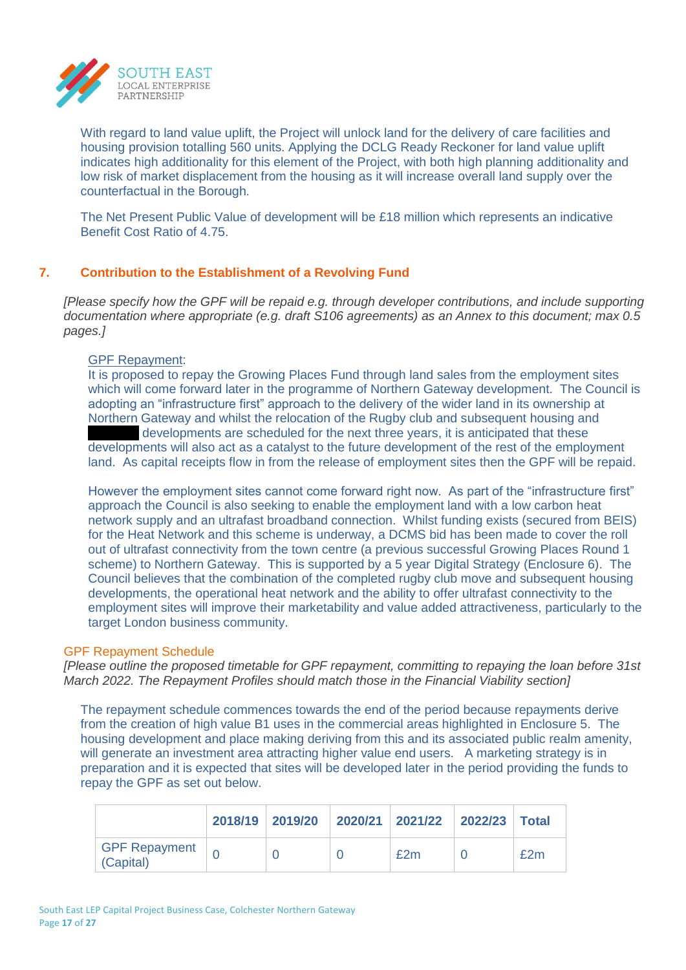

With regard to land value uplift, the Project will unlock land for the delivery of care facilities and housing provision totalling 560 units. Applying the DCLG Ready Reckoner for land value uplift indicates high additionality for this element of the Project, with both high planning additionality and low risk of market displacement from the housing as it will increase overall land supply over the counterfactual in the Borough.

The Net Present Public Value of development will be £18 million which represents an indicative Benefit Cost Ratio of 4.75.

## **7. Contribution to the Establishment of a Revolving Fund**

*[Please specify how the GPF will be repaid e.g. through developer contributions, and include supporting documentation where appropriate (e.g. draft S106 agreements) as an Annex to this document; max 0.5 pages.]*

#### GPF Repayment:

It is proposed to repay the Growing Places Fund through land sales from the employment sites which will come forward later in the programme of Northern Gateway development. The Council is adopting an "infrastructure first" approach to the delivery of the wider land in its ownership at Northern Gateway and whilst the relocation of the Rugby club and subsequent housing and developments are scheduled for the next three years, it is anticipated that these developments will also act as a catalyst to the future development of the rest of the employment land. As capital receipts flow in from the release of employment sites then the GPF will be repaid.

However the employment sites cannot come forward right now. As part of the "infrastructure first" approach the Council is also seeking to enable the employment land with a low carbon heat network supply and an ultrafast broadband connection. Whilst funding exists (secured from BEIS) for the Heat Network and this scheme is underway, a DCMS bid has been made to cover the roll out of ultrafast connectivity from the town centre (a previous successful Growing Places Round 1 scheme) to Northern Gateway. This is supported by a 5 year Digital Strategy (Enclosure 6). The Council believes that the combination of the completed rugby club move and subsequent housing developments, the operational heat network and the ability to offer ultrafast connectivity to the employment sites will improve their marketability and value added attractiveness, particularly to the target London business community.

#### GPF Repayment Schedule

*[Please outline the proposed timetable for GPF repayment, committing to repaying the loan before 31st March 2022. The Repayment Profiles should match those in the Financial Viability section]*

The repayment schedule commences towards the end of the period because repayments derive from the creation of high value B1 uses in the commercial areas highlighted in Enclosure 5. The housing development and place making deriving from this and its associated public realm amenity, will generate an investment area attracting higher value end users. A marketing strategy is in preparation and it is expected that sites will be developed later in the period providing the funds to repay the GPF as set out below.

|                            |  | 2018/19 2019/20 2020/21 2021/22 2022/23 Total |     |
|----------------------------|--|-----------------------------------------------|-----|
| GPF Repayment<br>(Capital) |  | £2m                                           | £2m |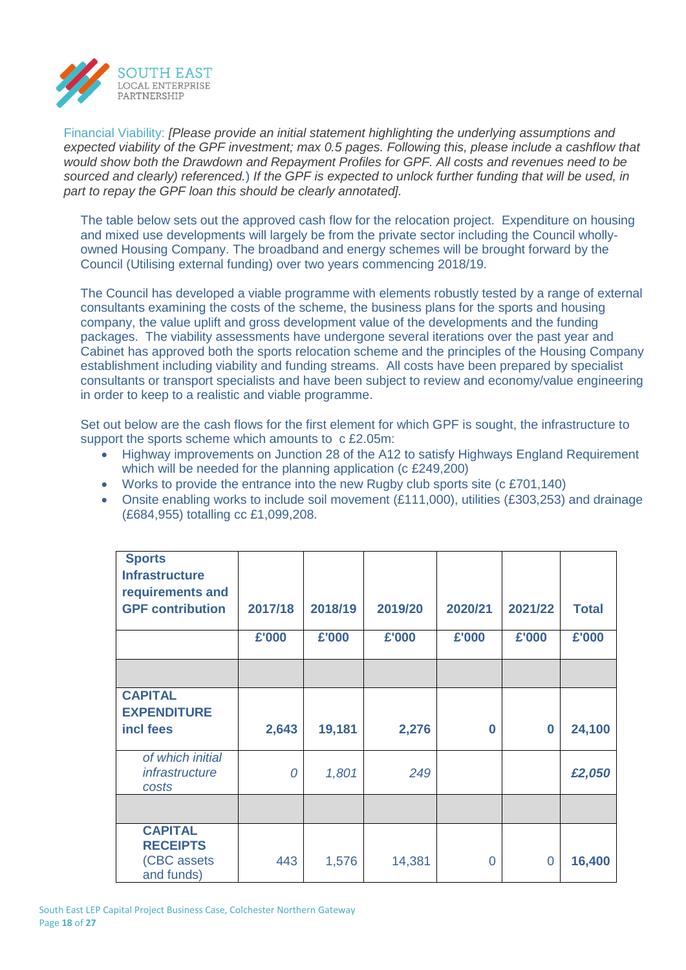

Financial Viability: *[Please provide an initial statement highlighting the underlying assumptions and expected viability of the GPF investment; max 0.5 pages. Following this, please include a cashflow that would show both the Drawdown and Repayment Profiles for GPF. All costs and revenues need to be sourced and clearly) referenced.*) *If the GPF is expected to unlock further funding that will be used, in part to repay the GPF loan this should be clearly annotated].*

The table below sets out the approved cash flow for the relocation project. Expenditure on housing and mixed use developments will largely be from the private sector including the Council whollyowned Housing Company. The broadband and energy schemes will be brought forward by the Council (Utilising external funding) over two years commencing 2018/19.

The Council has developed a viable programme with elements robustly tested by a range of external consultants examining the costs of the scheme, the business plans for the sports and housing company, the value uplift and gross development value of the developments and the funding packages. The viability assessments have undergone several iterations over the past year and Cabinet has approved both the sports relocation scheme and the principles of the Housing Company establishment including viability and funding streams. All costs have been prepared by specialist consultants or transport specialists and have been subject to review and economy/value engineering in order to keep to a realistic and viable programme.

Set out below are the cash flows for the first element for which GPF is sought, the infrastructure to support the sports scheme which amounts to c £2.05m:

- Highway improvements on Junction 28 of the A12 to satisfy Highways England Requirement which will be needed for the planning application (c £249,200)
- Works to provide the entrance into the new Rugby club sports site (c £701,140)
- Onsite enabling works to include soil movement  $(E111,000)$ , utilities  $(E303,253)$  and drainage (£684,955) totalling cc £1,099,208.

| <b>Sports</b><br><b>Infrastructure</b><br>requirements and     |         |         |         |         |          |              |
|----------------------------------------------------------------|---------|---------|---------|---------|----------|--------------|
| <b>GPF contribution</b>                                        | 2017/18 | 2018/19 | 2019/20 | 2020/21 | 2021/22  | <b>Total</b> |
|                                                                | £'000   | £'000   | £'000   | £'000   | £'000    | £'000        |
|                                                                |         |         |         |         |          |              |
| <b>CAPITAL</b><br><b>EXPENDITURE</b><br>incl fees              | 2,643   | 19,181  | 2,276   | 0       | $\bf{0}$ | 24,100       |
| of which initial<br>infrastructure<br>costs                    | 0       | 1,801   | 249     |         |          | £2,050       |
|                                                                |         |         |         |         |          |              |
| <b>CAPITAL</b><br><b>RECEIPTS</b><br>(CBC assets<br>and funds) | 443     | 1,576   | 14,381  | 0       | $\Omega$ | 16,400       |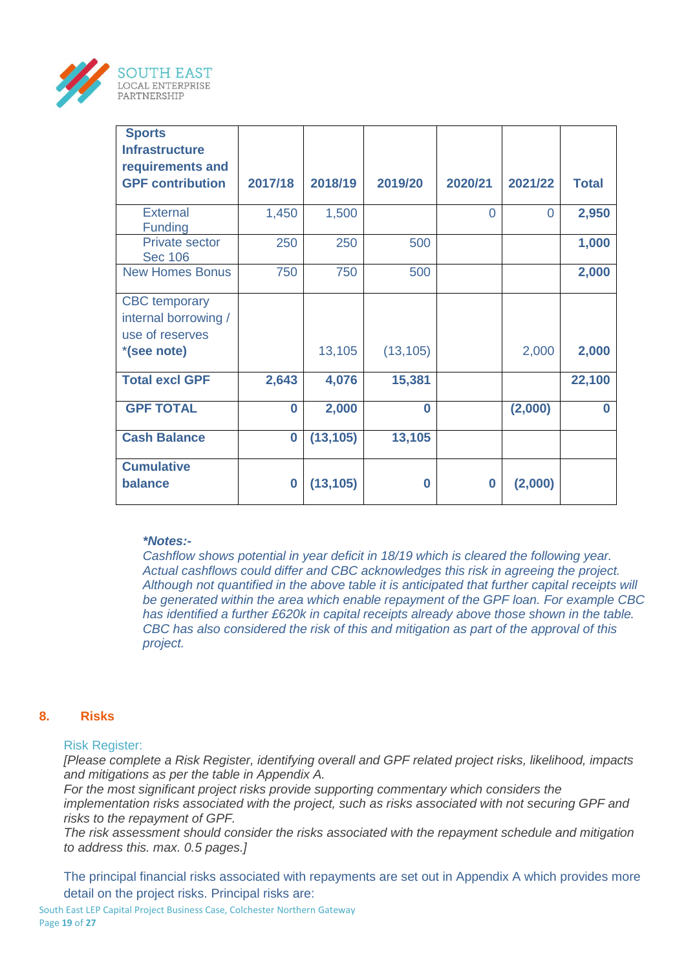

| <b>Sports</b>                           |          |           |           |          |          |              |
|-----------------------------------------|----------|-----------|-----------|----------|----------|--------------|
| <b>Infrastructure</b>                   |          |           |           |          |          |              |
| requirements and                        |          |           |           |          |          |              |
| <b>GPF contribution</b>                 | 2017/18  | 2018/19   | 2019/20   | 2020/21  | 2021/22  | <b>Total</b> |
| <b>External</b><br><b>Funding</b>       | 1,450    | 1,500     |           | $\Omega$ | $\Omega$ | 2,950        |
| <b>Private sector</b><br><b>Sec 106</b> | 250      | 250       | 500       |          |          | 1,000        |
| <b>New Homes Bonus</b>                  | 750      | 750       | 500       |          |          | 2,000        |
| <b>CBC</b> temporary                    |          |           |           |          |          |              |
| internal borrowing /                    |          |           |           |          |          |              |
| use of reserves                         |          |           |           |          |          |              |
| *(see note)                             |          | 13,105    | (13, 105) |          | 2,000    | 2,000        |
| <b>Total excl GPF</b>                   | 2,643    | 4,076     | 15,381    |          |          | 22,100       |
| <b>GPF TOTAL</b>                        | $\bf{0}$ | 2,000     | $\bf{0}$  |          | (2,000)  | O            |
| <b>Cash Balance</b>                     | $\bf{0}$ | (13, 105) | 13,105    |          |          |              |
| <b>Cumulative</b>                       |          |           |           |          |          |              |
| balance                                 | $\bf{0}$ | (13, 105) | $\bf{0}$  | $\bf{0}$ | (2,000)  |              |

#### *\*Notes:-*

*Cashflow shows potential in year deficit in 18/19 which is cleared the following year. Actual cashflows could differ and CBC acknowledges this risk in agreeing the project. Although not quantified in the above table it is anticipated that further capital receipts will be generated within the area which enable repayment of the GPF loan. For example CBC has identified a further £620k in capital receipts already above those shown in the table. CBC has also considered the risk of this and mitigation as part of the approval of this project.* 

#### **8. Risks**

#### Risk Register:

*[Please complete a Risk Register, identifying overall and GPF related project risks, likelihood, impacts and mitigations as per the table in Appendix A.* 

*For the most significant project risks provide supporting commentary which considers the implementation risks associated with the project, such as risks associated with not securing GPF and risks to the repayment of GPF.*

*The risk assessment should consider the risks associated with the repayment schedule and mitigation to address this. max. 0.5 pages.]*

The principal financial risks associated with repayments are set out in Appendix A which provides more detail on the project risks. Principal risks are: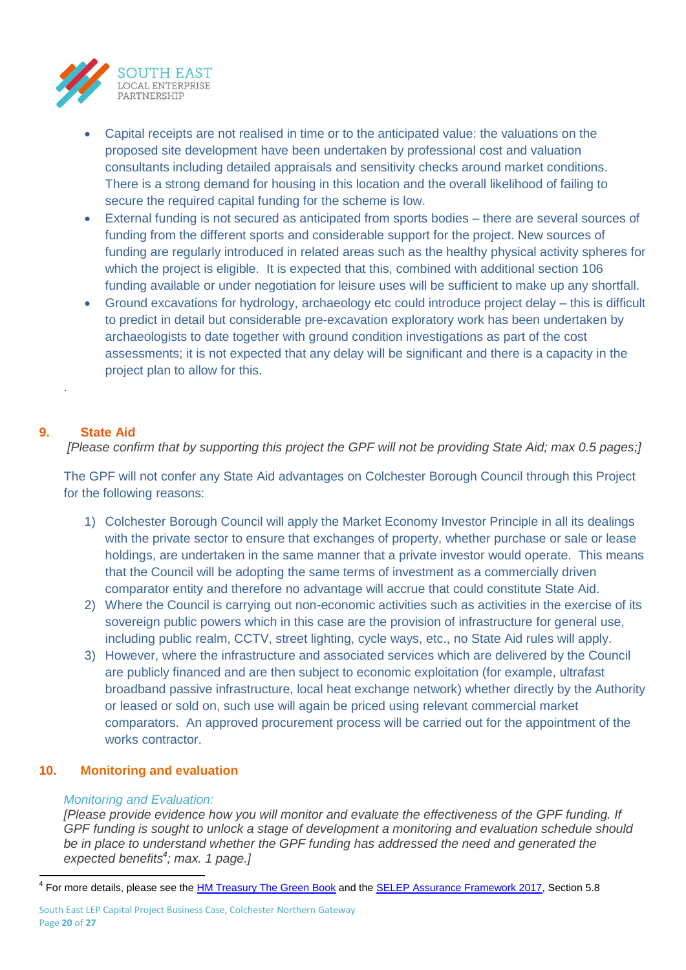

- Capital receipts are not realised in time or to the anticipated value: the valuations on the proposed site development have been undertaken by professional cost and valuation consultants including detailed appraisals and sensitivity checks around market conditions. There is a strong demand for housing in this location and the overall likelihood of failing to secure the required capital funding for the scheme is low.
- External funding is not secured as anticipated from sports bodies there are several sources of funding from the different sports and considerable support for the project. New sources of funding are regularly introduced in related areas such as the healthy physical activity spheres for which the project is eligible. It is expected that this, combined with additional section 106 funding available or under negotiation for leisure uses will be sufficient to make up any shortfall.
- Ground excavations for hydrology, archaeology etc could introduce project delay this is difficult to predict in detail but considerable pre-excavation exploratory work has been undertaken by archaeologists to date together with ground condition investigations as part of the cost assessments; it is not expected that any delay will be significant and there is a capacity in the project plan to allow for this.

## **9. State Aid**

.

*[Please confirm that by supporting this project the GPF will not be providing State Aid; max 0.5 pages;]*

The GPF will not confer any State Aid advantages on Colchester Borough Council through this Project for the following reasons:

- 1) Colchester Borough Council will apply the Market Economy Investor Principle in all its dealings with the private sector to ensure that exchanges of property, whether purchase or sale or lease holdings, are undertaken in the same manner that a private investor would operate. This means that the Council will be adopting the same terms of investment as a commercially driven comparator entity and therefore no advantage will accrue that could constitute State Aid.
- 2) Where the Council is carrying out non-economic activities such as activities in the exercise of its sovereign public powers which in this case are the provision of infrastructure for general use, including public realm, CCTV, street lighting, cycle ways, etc., no State Aid rules will apply.
- 3) However, where the infrastructure and associated services which are delivered by the Council are publicly financed and are then subject to economic exploitation (for example, ultrafast broadband passive infrastructure, local heat exchange network) whether directly by the Authority or leased or sold on, such use will again be priced using relevant commercial market comparators. An approved procurement process will be carried out for the appointment of the works contractor

## **10. Monitoring and evaluation**

## *Monitoring and Evaluation:*

*[Please provide evidence how you will monitor and evaluate the effectiveness of the GPF funding. If GPF funding is sought to unlock a stage of development a monitoring and evaluation schedule should be in place to understand whether the GPF funding has addressed the need and generated the expected benefits<sup>4</sup> ; max. 1 page.]*

<sup>&</sup>lt;u>.</u><br><sup>4</sup> For more details, please see the <u>HM Treasury The Green Book</u> and the <u>SELEP [Assurance Framework 2017,](http://www.southeastlep.com/images/uploads/resources/Assurance_Framework_2017_Final_Version.pdf)</u> Section 5.8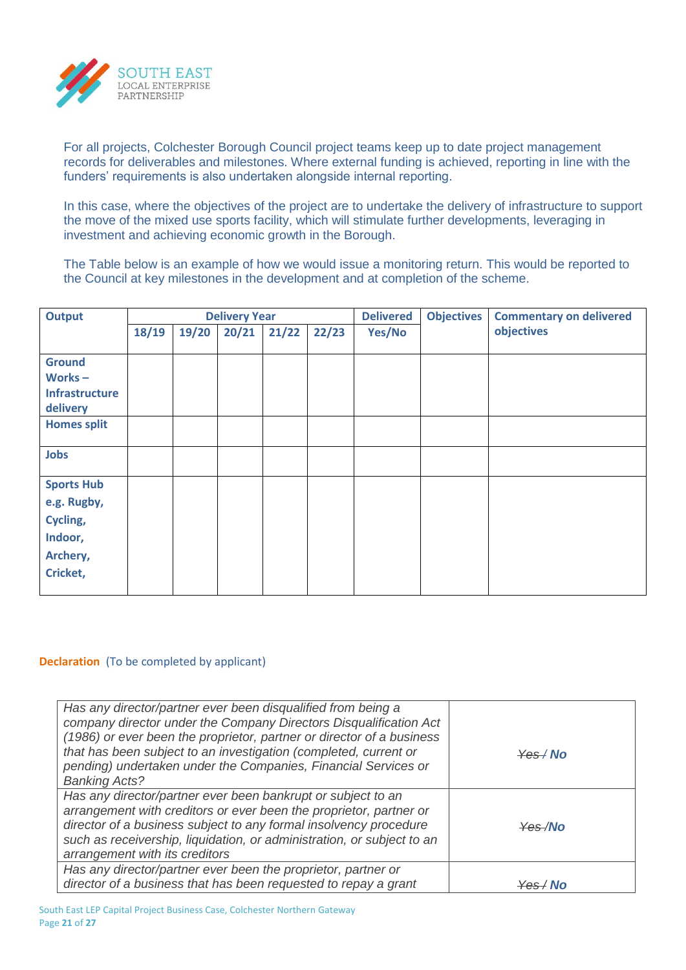

For all projects, Colchester Borough Council project teams keep up to date project management records for deliverables and milestones. Where external funding is achieved, reporting in line with the funders' requirements is also undertaken alongside internal reporting.

In this case, where the objectives of the project are to undertake the delivery of infrastructure to support the move of the mixed use sports facility, which will stimulate further developments, leveraging in investment and achieving economic growth in the Borough.

The Table below is an example of how we would issue a monitoring return. This would be reported to the Council at key milestones in the development and at completion of the scheme.

| <b>Output</b>         | <b>Delivery Year</b> |       |       |       |       | <b>Delivered</b> | <b>Objectives</b> | <b>Commentary on delivered</b> |  |
|-----------------------|----------------------|-------|-------|-------|-------|------------------|-------------------|--------------------------------|--|
|                       | 18/19                | 19/20 | 20/21 | 21/22 | 22/23 | Yes/No           |                   | objectives                     |  |
|                       |                      |       |       |       |       |                  |                   |                                |  |
| <b>Ground</b>         |                      |       |       |       |       |                  |                   |                                |  |
| Works $-$             |                      |       |       |       |       |                  |                   |                                |  |
| <b>Infrastructure</b> |                      |       |       |       |       |                  |                   |                                |  |
| delivery              |                      |       |       |       |       |                  |                   |                                |  |
| <b>Homes split</b>    |                      |       |       |       |       |                  |                   |                                |  |
| <b>Jobs</b>           |                      |       |       |       |       |                  |                   |                                |  |
| <b>Sports Hub</b>     |                      |       |       |       |       |                  |                   |                                |  |
| e.g. Rugby,           |                      |       |       |       |       |                  |                   |                                |  |
| Cycling,              |                      |       |       |       |       |                  |                   |                                |  |
| Indoor,               |                      |       |       |       |       |                  |                   |                                |  |
| Archery,              |                      |       |       |       |       |                  |                   |                                |  |
| Cricket,              |                      |       |       |       |       |                  |                   |                                |  |
|                       |                      |       |       |       |       |                  |                   |                                |  |

#### **Declaration** (To be completed by applicant)

| Has any director/partner ever been disqualified from being a<br>company director under the Company Directors Disqualification Act<br>(1986) or ever been the proprietor, partner or director of a business<br>that has been subject to an investigation (completed, current or<br>pending) undertaken under the Companies, Financial Services or<br><b>Banking Acts?</b> | $\frac{1}{2}$ Mo                                                                                                                                                                                                                                                                                                    |
|--------------------------------------------------------------------------------------------------------------------------------------------------------------------------------------------------------------------------------------------------------------------------------------------------------------------------------------------------------------------------|---------------------------------------------------------------------------------------------------------------------------------------------------------------------------------------------------------------------------------------------------------------------------------------------------------------------|
| Has any director/partner ever been bankrupt or subject to an<br>arrangement with creditors or ever been the proprietor, partner or<br>director of a business subject to any formal insolvency procedure<br>such as receivership, liquidation, or administration, or subject to an<br>arrangement with its creditors                                                      | $\frac{1}{2}$ $\frac{1}{2}$ $\frac{1}{2}$ $\frac{1}{2}$ $\frac{1}{2}$ $\frac{1}{2}$ $\frac{1}{2}$ $\frac{1}{2}$ $\frac{1}{2}$ $\frac{1}{2}$ $\frac{1}{2}$ $\frac{1}{2}$ $\frac{1}{2}$ $\frac{1}{2}$ $\frac{1}{2}$ $\frac{1}{2}$ $\frac{1}{2}$ $\frac{1}{2}$ $\frac{1}{2}$ $\frac{1}{2}$ $\frac{1}{2}$ $\frac{1}{2}$ |
| Has any director/partner ever been the proprietor, partner or<br>director of a business that has been requested to repay a grant                                                                                                                                                                                                                                         | ⊻≙െ⁄ N∩                                                                                                                                                                                                                                                                                                             |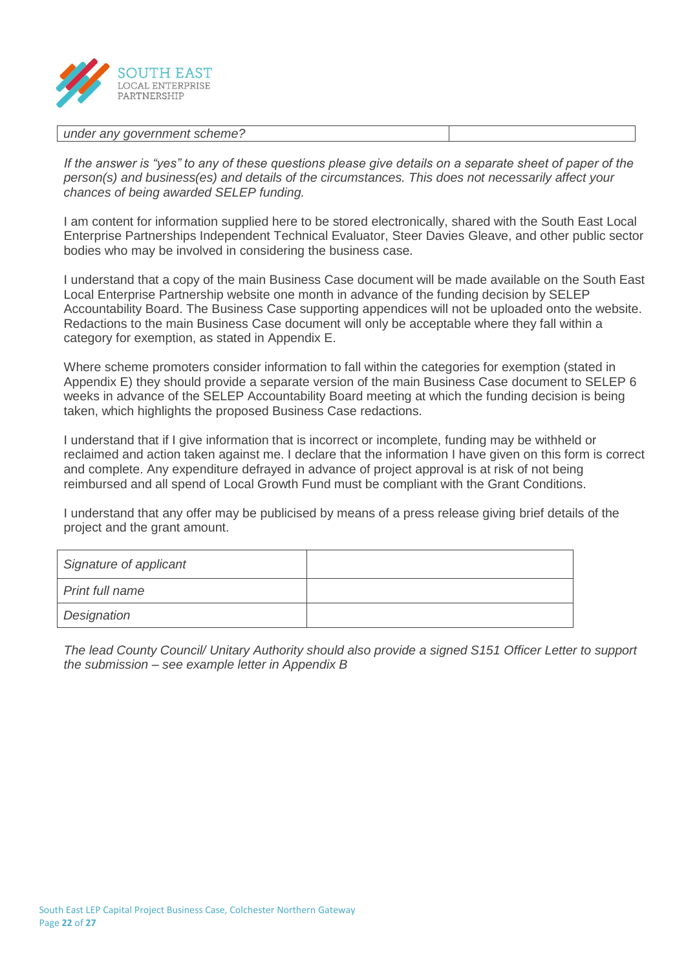

#### *under any government scheme?*

*If the answer is "yes" to any of these questions please give details on a separate sheet of paper of the person(s) and business(es) and details of the circumstances. This does not necessarily affect your chances of being awarded SELEP funding.*

I am content for information supplied here to be stored electronically, shared with the South East Local Enterprise Partnerships Independent Technical Evaluator, Steer Davies Gleave, and other public sector bodies who may be involved in considering the business case.

I understand that a copy of the main Business Case document will be made available on the South East Local Enterprise Partnership website one month in advance of the funding decision by SELEP Accountability Board. The Business Case supporting appendices will not be uploaded onto the website. Redactions to the main Business Case document will only be acceptable where they fall within a category for exemption, as stated in Appendix E.

Where scheme promoters consider information to fall within the categories for exemption (stated in Appendix E) they should provide a separate version of the main Business Case document to SELEP 6 weeks in advance of the SELEP Accountability Board meeting at which the funding decision is being taken, which highlights the proposed Business Case redactions.

I understand that if I give information that is incorrect or incomplete, funding may be withheld or reclaimed and action taken against me. I declare that the information I have given on this form is correct and complete. Any expenditure defrayed in advance of project approval is at risk of not being reimbursed and all spend of Local Growth Fund must be compliant with the Grant Conditions.

I understand that any offer may be publicised by means of a press release giving brief details of the project and the grant amount.

| Signature of applicant |  |
|------------------------|--|
| Print full name        |  |
| Designation            |  |

*The lead County Council/ Unitary Authority should also provide a signed S151 Officer Letter to support the submission – see example letter in Appendix B*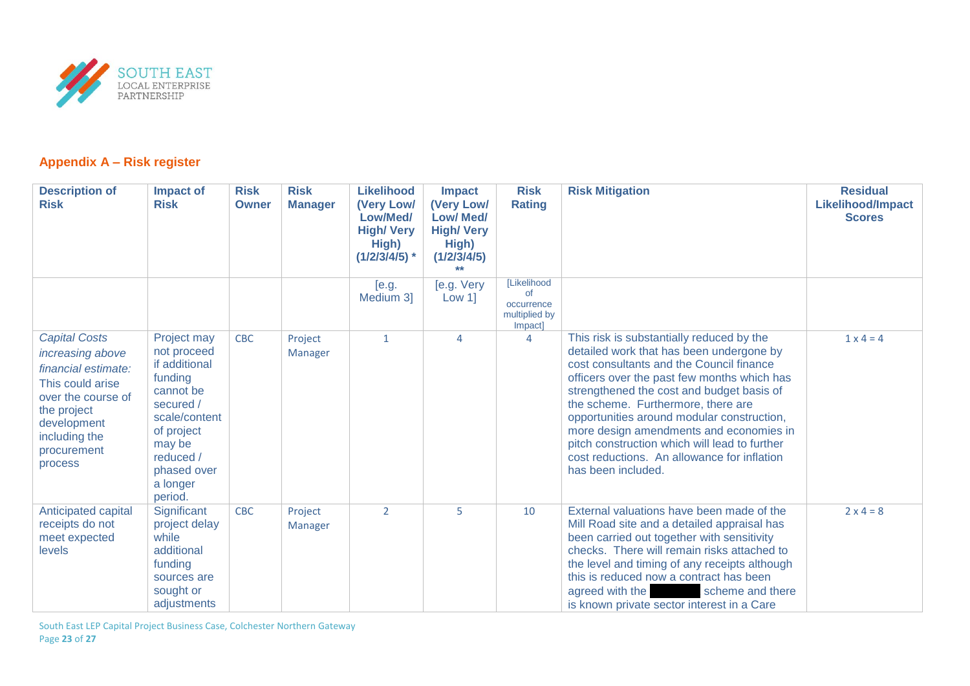

## **Appendix A – Risk register**

| <b>Description of</b><br><b>Risk</b>                                                                                                                                               | <b>Impact of</b><br><b>Risk</b>                                                                                                                                              | <b>Risk</b><br>Owner | <b>Risk</b><br><b>Manager</b> | <b>Likelihood</b><br>(Very Low/<br>Low/Med/<br><b>High/ Very</b><br>High) | <b>Impact</b><br>(Very Low/<br><b>Low/ Med/</b><br><b>High/ Very</b><br>High) | <b>Risk</b><br><b>Rating</b>                                | <b>Risk Mitigation</b>                                                                                                                                                                                                                                                                                                                                                                                                                                                             | <b>Residual</b><br><b>Likelihood/Impact</b><br><b>Scores</b> |
|------------------------------------------------------------------------------------------------------------------------------------------------------------------------------------|------------------------------------------------------------------------------------------------------------------------------------------------------------------------------|----------------------|-------------------------------|---------------------------------------------------------------------------|-------------------------------------------------------------------------------|-------------------------------------------------------------|------------------------------------------------------------------------------------------------------------------------------------------------------------------------------------------------------------------------------------------------------------------------------------------------------------------------------------------------------------------------------------------------------------------------------------------------------------------------------------|--------------------------------------------------------------|
|                                                                                                                                                                                    |                                                                                                                                                                              |                      |                               | $(1/2/3/4/5)$ *                                                           | (1/2/3/4/5)<br>$*$                                                            |                                                             |                                                                                                                                                                                                                                                                                                                                                                                                                                                                                    |                                                              |
|                                                                                                                                                                                    |                                                                                                                                                                              |                      |                               | [e.g.<br>Medium 3                                                         | [e.g. Very<br>Low 1                                                           | [Likelihood<br>of<br>occurrence<br>multiplied by<br>Impact] |                                                                                                                                                                                                                                                                                                                                                                                                                                                                                    |                                                              |
| <b>Capital Costs</b><br>increasing above<br>financial estimate:<br>This could arise<br>over the course of<br>the project<br>development<br>including the<br>procurement<br>process | Project may<br>not proceed<br>if additional<br>funding<br>cannot be<br>secured /<br>scale/content<br>of project<br>may be<br>reduced /<br>phased over<br>a longer<br>period. | <b>CBC</b>           | Project<br>Manager            | $\mathbf{1}$                                                              | 4                                                                             | $\overline{4}$                                              | This risk is substantially reduced by the<br>detailed work that has been undergone by<br>cost consultants and the Council finance<br>officers over the past few months which has<br>strengthened the cost and budget basis of<br>the scheme. Furthermore, there are<br>opportunities around modular construction,<br>more design amendments and economies in<br>pitch construction which will lead to further<br>cost reductions. An allowance for inflation<br>has been included. | $1 \times 4 = 4$                                             |
| Anticipated capital<br>receipts do not<br>meet expected<br>levels                                                                                                                  | Significant<br>project delay<br>while<br>additional<br>funding<br>sources are<br>sought or<br>adjustments                                                                    | <b>CBC</b>           | Project<br><b>Manager</b>     | 2                                                                         | 5                                                                             | 10                                                          | External valuations have been made of the<br>Mill Road site and a detailed appraisal has<br>been carried out together with sensitivity<br>checks. There will remain risks attached to<br>the level and timing of any receipts although<br>this is reduced now a contract has been<br>agreed with the<br>scheme and there<br>is known private sector interest in a Care                                                                                                             | $2 \times 4 = 8$                                             |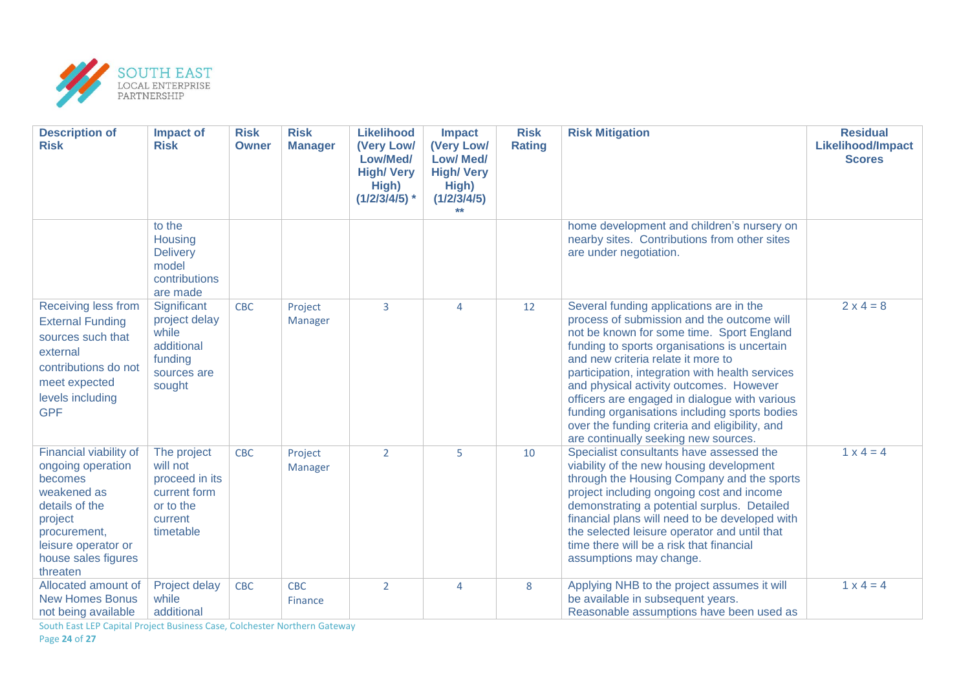

| <b>Description of</b><br><b>Risk</b>                                                                                                                                         | <b>Impact of</b><br><b>Risk</b>                                                                | <b>Risk</b><br><b>Owner</b> | <b>Risk</b><br><b>Manager</b> | <b>Likelihood</b><br>(Very Low/<br>Low/Med/<br><b>High/ Very</b><br>High)<br>$(1/2/3/4/5)$ * | <b>Impact</b><br>(Very Low/<br><b>Low/ Med/</b><br><b>High/Very</b><br>High)<br>(1/2/3/4/5) | <b>Risk</b><br><b>Rating</b> | <b>Risk Mitigation</b>                                                                                                                                                                                                                                                                                                                                                                                                                                                                                             | <b>Residual</b><br><b>Likelihood/Impact</b><br><b>Scores</b> |
|------------------------------------------------------------------------------------------------------------------------------------------------------------------------------|------------------------------------------------------------------------------------------------|-----------------------------|-------------------------------|----------------------------------------------------------------------------------------------|---------------------------------------------------------------------------------------------|------------------------------|--------------------------------------------------------------------------------------------------------------------------------------------------------------------------------------------------------------------------------------------------------------------------------------------------------------------------------------------------------------------------------------------------------------------------------------------------------------------------------------------------------------------|--------------------------------------------------------------|
|                                                                                                                                                                              | to the<br>Housing<br><b>Delivery</b><br>model<br>contributions<br>are made                     |                             |                               |                                                                                              |                                                                                             |                              | home development and children's nursery on<br>nearby sites. Contributions from other sites<br>are under negotiation.                                                                                                                                                                                                                                                                                                                                                                                               |                                                              |
| Receiving less from<br><b>External Funding</b><br>sources such that<br>external<br>contributions do not<br>meet expected<br>levels including<br><b>GPF</b>                   | Significant<br>project delay<br>while<br>additional<br>funding<br>sources are<br>sought        | <b>CBC</b>                  | Project<br>Manager            | $\overline{3}$                                                                               | 4                                                                                           | 12                           | Several funding applications are in the<br>process of submission and the outcome will<br>not be known for some time. Sport England<br>funding to sports organisations is uncertain<br>and new criteria relate it more to<br>participation, integration with health services<br>and physical activity outcomes. However<br>officers are engaged in dialogue with various<br>funding organisations including sports bodies<br>over the funding criteria and eligibility, and<br>are continually seeking new sources. | $2 \times 4 = 8$                                             |
| Financial viability of<br>ongoing operation<br>becomes<br>weakened as<br>details of the<br>project<br>procurement,<br>leisure operator or<br>house sales figures<br>threaten | The project<br>will not<br>proceed in its<br>current form<br>or to the<br>current<br>timetable | <b>CBC</b>                  | Project<br>Manager            | $\overline{2}$                                                                               | 5                                                                                           | 10                           | Specialist consultants have assessed the<br>viability of the new housing development<br>through the Housing Company and the sports<br>project including ongoing cost and income<br>demonstrating a potential surplus. Detailed<br>financial plans will need to be developed with<br>the selected leisure operator and until that<br>time there will be a risk that financial<br>assumptions may change.                                                                                                            | $1 x 4 = 4$                                                  |
| Allocated amount of<br><b>New Homes Bonus</b><br>not being available                                                                                                         | Project delay<br>while<br>additional                                                           | <b>CBC</b>                  | <b>CBC</b><br><b>Finance</b>  | $\overline{2}$                                                                               | 4                                                                                           | 8                            | Applying NHB to the project assumes it will<br>be available in subsequent years.<br>Reasonable assumptions have been used as                                                                                                                                                                                                                                                                                                                                                                                       | $1 x 4 = 4$                                                  |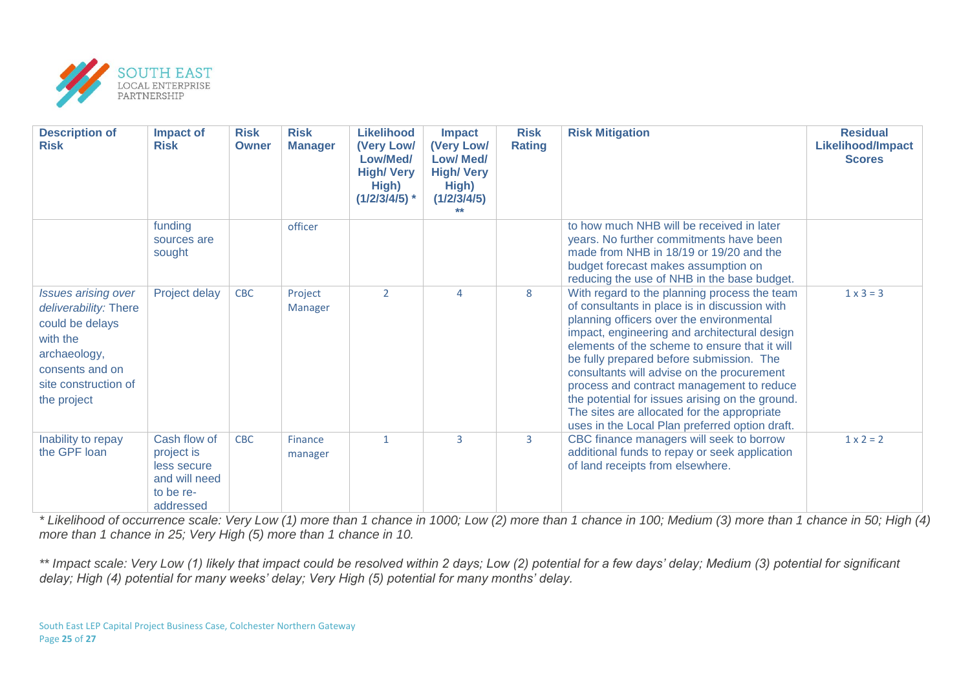

| <b>Description of</b><br><b>Risk</b>                                                                                                                         | Impact of<br><b>Risk</b>                                                             | <b>Risk</b><br><b>Owner</b> | <b>Risk</b><br><b>Manager</b> | <b>Likelihood</b><br>(Very Low/<br>Low/Med/<br><b>High/ Very</b><br>High)<br>$(1/2/3/4/5)$ * | <b>Impact</b><br>(Very Low/<br><b>Low/ Med/</b><br><b>High/ Very</b><br>High)<br>(1/2/3/4/5) | <b>Risk</b><br><b>Rating</b> | <b>Risk Mitigation</b>                                                                                                                                                                                                                                                                                                                                                                                                                                                                                                                | <b>Residual</b><br><b>Likelihood/Impact</b><br><b>Scores</b> |
|--------------------------------------------------------------------------------------------------------------------------------------------------------------|--------------------------------------------------------------------------------------|-----------------------------|-------------------------------|----------------------------------------------------------------------------------------------|----------------------------------------------------------------------------------------------|------------------------------|---------------------------------------------------------------------------------------------------------------------------------------------------------------------------------------------------------------------------------------------------------------------------------------------------------------------------------------------------------------------------------------------------------------------------------------------------------------------------------------------------------------------------------------|--------------------------------------------------------------|
|                                                                                                                                                              | funding<br>sources are<br>sought                                                     |                             | officer                       |                                                                                              |                                                                                              |                              | to how much NHB will be received in later<br>years. No further commitments have been<br>made from NHB in 18/19 or 19/20 and the<br>budget forecast makes assumption on<br>reducing the use of NHB in the base budget.                                                                                                                                                                                                                                                                                                                 |                                                              |
| <b>Issues arising over</b><br>deliverability: There<br>could be delays<br>with the<br>archaeology,<br>consents and on<br>site construction of<br>the project | Project delay                                                                        | <b>CBC</b>                  | Project<br><b>Manager</b>     | $\overline{2}$                                                                               | $\overline{4}$                                                                               | 8                            | With regard to the planning process the team<br>of consultants in place is in discussion with<br>planning officers over the environmental<br>impact, engineering and architectural design<br>elements of the scheme to ensure that it will<br>be fully prepared before submission. The<br>consultants will advise on the procurement<br>process and contract management to reduce<br>the potential for issues arising on the ground.<br>The sites are allocated for the appropriate<br>uses in the Local Plan preferred option draft. | $1 \times 3 = 3$                                             |
| Inability to repay<br>the GPF loan                                                                                                                           | Cash flow of<br>project is<br>less secure<br>and will need<br>to be re-<br>addressed | <b>CBC</b>                  | Finance<br>manager            | $\mathbf{1}$                                                                                 | $\overline{3}$                                                                               | 3                            | CBC finance managers will seek to borrow<br>additional funds to repay or seek application<br>of land receipts from elsewhere.                                                                                                                                                                                                                                                                                                                                                                                                         | $1 \times 2 = 2$                                             |

*\* Likelihood of occurrence scale: Very Low (1) more than 1 chance in 1000; Low (2) more than 1 chance in 100; Medium (3) more than 1 chance in 50; High (4) more than 1 chance in 25; Very High (5) more than 1 chance in 10.*

*\*\* Impact scale: Very Low (1) likely that impact could be resolved within 2 days; Low (2) potential for a few days' delay; Medium (3) potential for significant delay; High (4) potential for many weeks' delay; Very High (5) potential for many months' delay.*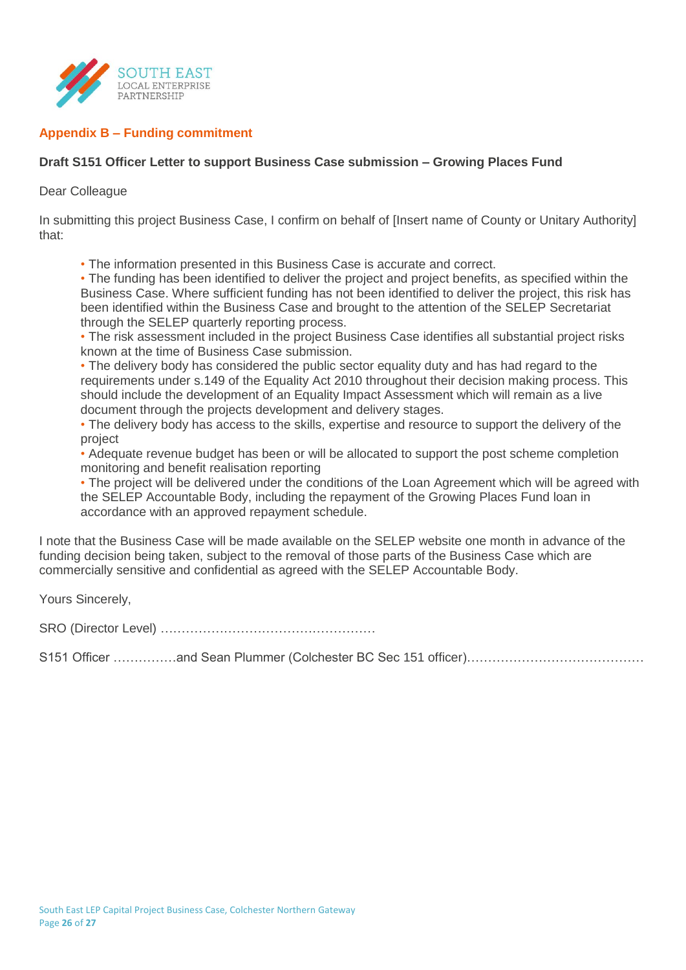

## **Appendix B – Funding commitment**

## **Draft S151 Officer Letter to support Business Case submission – Growing Places Fund**

#### Dear Colleague

In submitting this project Business Case, I confirm on behalf of [Insert name of County or Unitary Authority] that:

• The information presented in this Business Case is accurate and correct.

• The funding has been identified to deliver the project and project benefits, as specified within the Business Case. Where sufficient funding has not been identified to deliver the project, this risk has been identified within the Business Case and brought to the attention of the SELEP Secretariat through the SELEP quarterly reporting process.

• The risk assessment included in the project Business Case identifies all substantial project risks known at the time of Business Case submission.

• The delivery body has considered the public sector equality duty and has had regard to the requirements under s.149 of the Equality Act 2010 throughout their decision making process. This should include the development of an Equality Impact Assessment which will remain as a live document through the projects development and delivery stages.

• The delivery body has access to the skills, expertise and resource to support the delivery of the project

• Adequate revenue budget has been or will be allocated to support the post scheme completion monitoring and benefit realisation reporting

• The project will be delivered under the conditions of the Loan Agreement which will be agreed with the SELEP Accountable Body, including the repayment of the Growing Places Fund loan in accordance with an approved repayment schedule.

I note that the Business Case will be made available on the SELEP website one month in advance of the funding decision being taken, subject to the removal of those parts of the Business Case which are commercially sensitive and confidential as agreed with the SELEP Accountable Body.

Yours Sincerely,

SRO (Director Level) ……………………………………………

S151 Officer ……………and Sean Plummer (Colchester BC Sec 151 officer)……………………………………